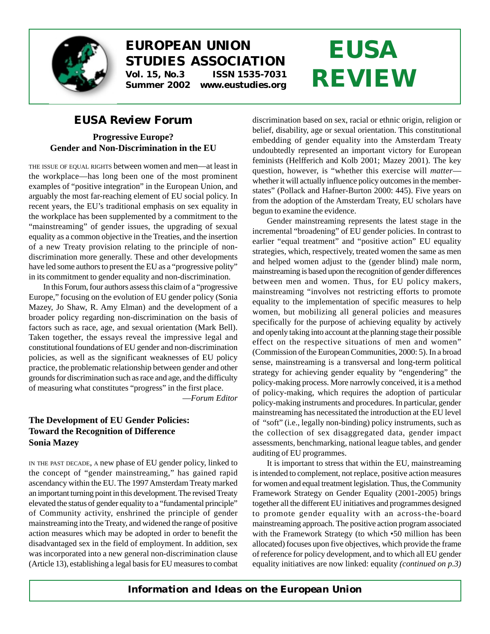

# **EUROPEAN UNION STUDIES ASSOCIATION Vol. 15, No.3 ISSN 1535-7031**

**Summer 2002 www.eustudies.org**

# **EUSA REVIEW**

# *EUSA Review* **Forum**

## **Progressive Europe? Gender and Non-Discrimination in the EU**

THE ISSUE OF EQUAL RIGHTS between women and men—at least in the workplace—has long been one of the most prominent examples of "positive integration" in the European Union, and arguably the most far-reaching element of EU social policy. In recent years, the EU's traditional emphasis on sex equality in the workplace has been supplemented by a commitment to the "mainstreaming" of gender issues, the upgrading of sexual equality as a common objective in the Treaties, and the insertion of a new Treaty provision relating to the principle of nondiscrimination more generally. These and other developments have led some authors to present the EU as a "progressive polity" in its commitment to gender equality and non-discrimination.

In this Forum, four authors assess this claim of a "progressive Europe," focusing on the evolution of EU gender policy (Sonia Mazey, Jo Shaw, R. Amy Elman) and the development of a broader policy regarding non-discrimination on the basis of factors such as race, age, and sexual orientation (Mark Bell). Taken together, the essays reveal the impressive legal and constitutional foundations of EU gender and non-discrimination policies, as well as the significant weaknesses of EU policy practice, the problematic relationship between gender and other grounds for discrimination such as race and age, and the difficulty of measuring what constitutes "progress" in the first place.

—*Forum Editor*

## **The Development of EU Gender Policies: Toward the Recognition of Difference Sonia Mazey**

IN THE PAST DECADE, A new phase of EU gender policy, linked to the concept of "gender mainstreaming," has gained rapid ascendancy within the EU. The 1997 Amsterdam Treaty marked an important turning point in this development. The revised Treaty elevated the status of gender equality to a "fundamental principle" of Community activity, enshrined the principle of gender mainstreaming into the Treaty, and widened the range of positive action measures which may be adopted in order to benefit the disadvantaged sex in the field of employment. In addition, sex was incorporated into a new general non-discrimination clause (Article 13), establishing a legal basis for EU measures to combat

discrimination based on sex, racial or ethnic origin, religion or belief, disability, age or sexual orientation. This constitutional embedding of gender equality into the Amsterdam Treaty undoubtedly represented an important victory for European feminists (Helfferich and Kolb 2001; Mazey 2001). The key question, however, is "whether this exercise will *matter* whether it will actually influence policy outcomes in the memberstates" (Pollack and Hafner-Burton 2000: 445). Five years on from the adoption of the Amsterdam Treaty, EU scholars have begun to examine the evidence.

Gender mainstreaming represents the latest stage in the incremental "broadening" of EU gender policies. In contrast to earlier "equal treatment" and "positive action" EU equality strategies, which, respectively, treated women the same as men and helped women adjust to the (gender blind) male norm, mainstreaming is based upon the recognition of gender differences between men and women. Thus, for EU policy makers, mainstreaming "involves not restricting efforts to promote equality to the implementation of specific measures to help women, but mobilizing all general policies and measures specifically for the purpose of achieving equality by actively and openly taking into account at the planning stage their possible effect on the respective situations of men and women" (Commission of the European Communities, 2000: 5). In a broad sense, mainstreaming is a transversal and long-term political strategy for achieving gender equality by "engendering" the policy-making process. More narrowly conceived, it is a method of policy-making, which requires the adoption of particular policy-making instruments and procedures. In particular, gender mainstreaming has necessitated the introduction at the EU level of "soft" (i.e., legally non-binding) policy instruments, such as the collection of sex disaggregated data, gender impact assessments, benchmarking, national league tables, and gender auditing of EU programmes.

It is important to stress that within the EU, mainstreaming is intended to complement, not replace, positive action measures for women and equal treatment legislation. Thus, the Community Framework Strategy on Gender Equality (2001-2005) brings together all the different EU initiatives and programmes designed to promote gender equality with an across-the-board mainstreaming approach. The positive action program associated with the Framework Strategy (to which •50 million has been allocated) focuses upon five objectives, which provide the frame of reference for policy development, and to which all EU gender equality initiatives are now linked: equality *(continued on p.3)*

*Information and Ideas on the European Union*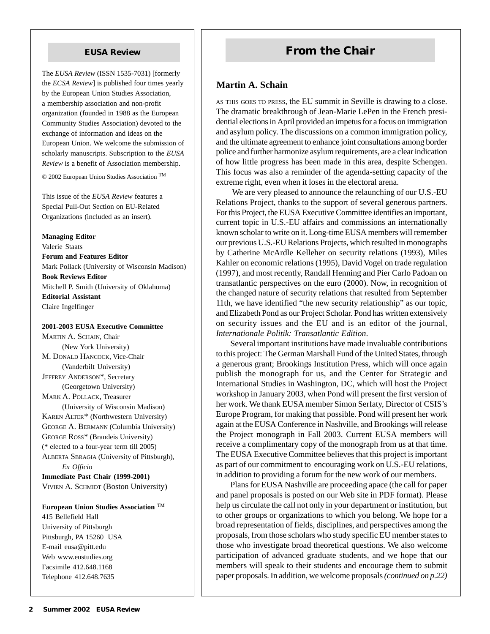The *EUSA Review* (ISSN 1535-7031) [formerly the *ECSA Review*] is published four times yearly by the European Union Studies Association, a membership association and non-profit organization (founded in 1988 as the European Community Studies Association) devoted to the exchange of information and ideas on the European Union. We welcome the submission of scholarly manuscripts. Subscription to the *EUSA Review* is a benefit of Association membership.

© 2002 European Union Studies Association

This issue of the *EUSA Review* features a Special Pull-Out Section on EU-Related Organizations (included as an insert).

**Managing Editor** Valerie Staats **Forum and Features Editor** Mark Pollack (University of Wisconsin Madison) **Book Reviews Editor** Mitchell P. Smith (University of Oklahoma) **Editorial Assistant**

Claire Ingelfinger

#### **2001-2003 EUSA Executive Committee**

MARTIN A. SCHAIN, Chair (New York University) M. DONALD HANCOCK, Vice-Chair (Vanderbilt University) JEFFREY ANDERSON\*, Secretary (Georgetown University) MARK A. POLLACK, Treasurer (University of Wisconsin Madison) KAREN ALTER\* (Northwestern University) GEORGE A. BERMANN (Columbia University) GEORGE ROSS\* (Brandeis University) (\* elected to a four-year term till 2005) ALBERTA SBRAGIA (University of Pittsburgh), *Ex Officio* **Immediate Past Chair (1999-2001)** VIVIEN A. SCHMIDT (Boston University)

**European Union Studies Association**  415 Bellefield Hall University of Pittsburgh Pittsburgh, PA 15260 USA E-mail eusa@pitt.edu Web www.eustudies.org Facsimile 412.648.1168 Telephone 412.648.7635

# **EUSA Review <b>From the Chair**

#### **Martin A. Schain**

AS THIS GOES TO PRESS, the EU summit in Seville is drawing to a close. The dramatic breakthrough of Jean-Marie LePen in the French presidential elections in April provided an impetus for a focus on immigration and asylum policy. The discussions on a common immigration policy, and the ultimate agreement to enhance joint consultations among border police and further harmonize asylum requirements, are a clear indication of how little progress has been made in this area, despite Schengen. This focus was also a reminder of the agenda-setting capacity of the extreme right, even when it loses in the electoral arena.

 We are very pleased to announce the relaunching of our U.S.-EU Relations Project, thanks to the support of several generous partners. For this Project, the EUSA Executive Committee identifies an important, current topic in U.S.-EU affairs and commissions an internationally known scholar to write on it. Long-time EUSA members will remember our previous U.S.-EU Relations Projects, which resulted in monographs by Catherine McArdle Kelleher on security relations (1993), Miles Kahler on economic relations (1995), David Vogel on trade regulation (1997), and most recently, Randall Henning and Pier Carlo Padoan on transatlantic perspectives on the euro (2000). Now, in recognition of the changed nature of security relations that resulted from September 11th, we have identified "the new security relationship" as our topic, and Elizabeth Pond as our Project Scholar. Pond has written extensively on security issues and the EU and is an editor of the journal, *Internationale Politik: Transatlantic Edition*.

Several important institutions have made invaluable contributions to this project: The German Marshall Fund of the United States, through a generous grant; Brookings Institution Press, which will once again publish the monograph for us, and the Center for Strategic and International Studies in Washington, DC, which will host the Project workshop in January 2003, when Pond will present the first version of her work. We thank EUSA member Simon Serfaty, Director of CSIS's Europe Program, for making that possible. Pond will present her work again at the EUSA Conference in Nashville, and Brookings will release the Project monograph in Fall 2003. Current EUSA members will receive a complimentary copy of the monograph from us at that time. The EUSA Executive Committee believes that this project is important as part of our commitment to encouraging work on U.S.-EU relations, in addition to providing a forum for the new work of our members.

Plans for EUSA Nashville are proceeding apace (the call for paper and panel proposals is posted on our Web site in PDF format). Please help us circulate the call not only in your department or institution, but to other groups or organizations to which you belong. We hope for a broad representation of fields, disciplines, and perspectives among the proposals, from those scholars who study specific EU member states to those who investigate broad theoretical questions. We also welcome participation of advanced graduate students, and we hope that our members will speak to their students and encourage them to submit paper proposals. In addition, we welcome proposals *(continued on p.22)*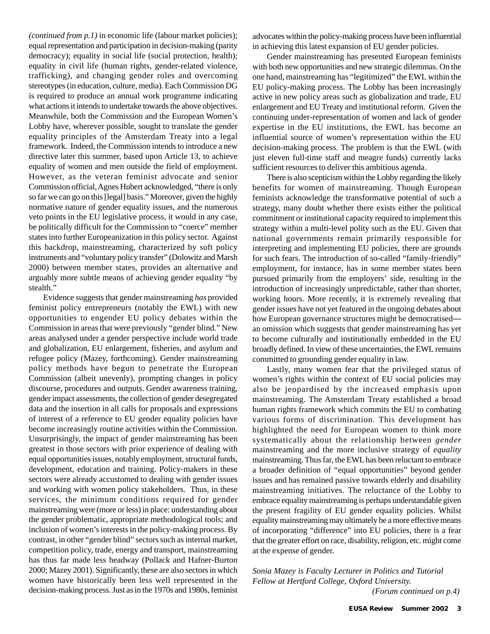*(continued from p.1)* in economic life (labour market policies); equal representation and participation in decision-making (parity democracy); equality in social life (social protection, health); equality in civil life (human rights, gender-related violence, trafficking), and changing gender roles and overcoming stereotypes (in education, culture, media). Each Commission DG is required to produce an annual work programme indicating what actions it intends to undertake towards the above objectives. Meanwhile, both the Commission and the European Women's Lobby have, wherever possible, sought to translate the gender equality principles of the Amsterdam Treaty into a legal framework. Indeed, the Commission intends to introduce a new directive later this summer, based upon Article 13, to achieve equality of women and men outside the field of employment. However, as the veteran feminist advocate and senior Commission official, Agnes Hubert acknowledged, "there is only so far we can go on this [legal] basis." Moreover, given the highly normative nature of gender equality issues, and the numerous veto points in the EU legislative process, it would in any case, be politically difficult for the Commission to "coerce" member states into further Europeanization in this policy sector. Against this backdrop, mainstreaming, characterized by soft policy instruments and "voluntary policy transfer" (Dolowitz and Marsh 2000) between member states, provides an alternative and arguably more subtle means of achieving gender equality "by stealth."

Evidence suggests that gender mainstreaming *has* provided feminist policy entrepreneurs (notably the EWL) with new opportunities to engender EU policy debates within the Commission in areas that were previously "gender blind." New areas analysed under a gender perspective include world trade and globalization, EU enlargement, fisheries, and asylum and refugee policy (Mazey, forthcoming). Gender mainstreaming policy methods have begun to penetrate the European Commission (albeit unevenly), prompting changes in policy discourse, procedures and outputs. Gender awareness training, gender impact assessments, the collection of gender desegregated data and the insertion in all calls for proposals and expressions of interest of a reference to EU gender equality policies have become increasingly routine activities within the Commission. Unsurprisingly, the impact of gender mainstreaming has been greatest in those sectors with prior experience of dealing with equal opportunities issues, notably employment, structural funds, development, education and training. Policy-makers in these sectors were already accustomed to dealing with gender issues and working with women policy stakeholders. Thus, in these services, the minimum conditions required for gender mainstreaming were (more or less) in place: understanding about the gender problematic, appropriate methodological tools; and inclusion of women's interests in the policy-making process. By contrast, in other "gender blind" sectors such as internal market, competition policy, trade, energy and transport, mainstreaming has thus far made less headway (Pollack and Hafner-Burton 2000; Mazey 2001). Significantly, these are also sectors in which women have historically been less well represented in the decision-making process. Just as in the 1970s and 1980s, feminist

advocates within the policy-making process have been influential in achieving this latest expansion of EU gender policies.

Gender mainstreaming has presented European feminists with both new opportunities and new strategic dilemmas. On the one hand, mainstreaming has "legitimized" the EWL within the EU policy-making process. The Lobby has been increasingly active in new policy areas such as globalization and trade, EU enlargement and EU Treaty and institutional reform. Given the continuing under-representation of women and lack of gender expertise in the EU institutions, the EWL has become an influential source of women's representation within the EU decision-making process. The problem is that the EWL (with just eleven full-time staff and meagre funds) currently lacks sufficient resources to deliver this ambitious agenda.

There is also scepticism within the Lobby regarding the likely benefits for women of mainstreaming. Though European feminists acknowledge the transformative potential of such a strategy, many doubt whether there exists either the political commitment or institutional capacity required to implement this strategy within a multi-level polity such as the EU. Given that national governments remain primarily responsible for interpreting and implementing EU policies, there are grounds for such fears. The introduction of so-called "family-friendly" employment, for instance, has in some member states been pursued primarily from the employers' side, resulting in the introduction of increasingly unpredictable, rather than shorter, working hours. More recently, it is extremely revealing that gender issues have not yet featured in the ongoing debates about how European governance structures might be democratised an omission which suggests that gender mainstreaming has yet to become culturally and institutionally embedded in the EU broadly defined. In view of these uncertainties, the EWL remains committed to grounding gender equality in law.

Lastly, many women fear that the privileged status of women's rights within the context of EU social policies may also be jeopardised by the increased emphasis upon mainstreaming. The Amsterdam Treaty established a broad human rights framework which commits the EU to combating various forms of discrimination. This development has highlighted the need for European women to think more systematically about the relationship between *gender* mainstreaming and the more inclusive strategy of *equality* mainstreaming. Thus far, the EWL has been reluctant to embrace a broader definition of "equal opportunities" beyond gender issues and has remained passive towards elderly and disability mainstreaming initiatives. The reluctance of the Lobby to embrace equality mainstreaming is perhaps understandable given the present fragility of EU gender equality policies. Whilst equality mainstreaming may ultimately be a more effective means of incorporating "difference" into EU policies, there is a fear that the greater effort on race, disability, religion, etc. might come at the expense of gender.

*Sonia Mazey is Faculty Lecturer in Politics and Tutorial Fellow at Hertford College, Oxford University. (Forum continued on p.4)*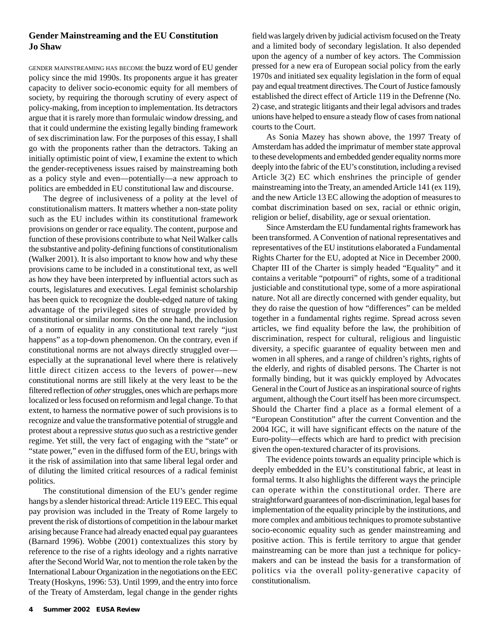#### **Gender Mainstreaming and the EU Constitution Jo Shaw**

GENDER MAINSTREAMING HAS BECOME the buzz word of EU gender policy since the mid 1990s. Its proponents argue it has greater capacity to deliver socio-economic equity for all members of society, by requiring the thorough scrutiny of every aspect of policy-making, from inception to implementation. Its detractors argue that it is rarely more than formulaic window dressing, and that it could undermine the existing legally binding framework of sex discrimination law. For the purposes of this essay, I shall go with the proponents rather than the detractors. Taking an initially optimistic point of view, I examine the extent to which the gender-receptiveness issues raised by mainstreaming both as a policy style and even—potentially—a new approach to politics are embedded in EU constitutional law and discourse.

The degree of inclusiveness of a polity at the level of constitutionalism matters. It matters whether a non-state polity such as the EU includes within its constitutional framework provisions on gender or race equality. The content, purpose and function of these provisions contribute to what Neil Walker calls the substantive and polity-defining functions of constitutionalism (Walker 2001). It is also important to know how and why these provisions came to be included in a constitutional text, as well as how they have been interpreted by influential actors such as courts, legislatures and executives. Legal feminist scholarship has been quick to recognize the double-edged nature of taking advantage of the privileged sites of struggle provided by constitutional or similar norms. On the one hand, the inclusion of a norm of equality in any constitutional text rarely "just happens" as a top-down phenomenon. On the contrary, even if constitutional norms are not always directly struggled over especially at the supranational level where there is relatively little direct citizen access to the levers of power—new constitutional norms are still likely at the very least to be the filtered reflection of *other* struggles, ones which are perhaps more localized or less focused on reformism and legal change. To that extent, to harness the normative power of such provisions is to recognize and value the transformative potential of struggle and protest about a repressive *status quo* such as a restrictive gender regime. Yet still, the very fact of engaging with the "state" or "state power," even in the diffused form of the EU, brings with it the risk of assimilation into that same liberal legal order and of diluting the limited critical resources of a radical feminist politics.

The constitutional dimension of the EU's gender regime hangs by a slender historical thread: Article 119 EEC. This equal pay provision was included in the Treaty of Rome largely to prevent the risk of distortions of competition in the labour market arising because France had already enacted equal pay guarantees (Barnard 1996). Wobbe (2001) contextualizes this story by reference to the rise of a rights ideology and a rights narrative after the Second World War, not to mention the role taken by the International Labour Organization in the negotiations on the EEC Treaty (Hoskyns, 1996: 53). Until 1999, and the entry into force of the Treaty of Amsterdam, legal change in the gender rights field was largely driven by judicial activism focused on the Treaty and a limited body of secondary legislation. It also depended upon the agency of a number of key actors. The Commission pressed for a new era of European social policy from the early 1970s and initiated sex equality legislation in the form of equal pay and equal treatment directives. The Court of Justice famously established the direct effect of Article 119 in the Defrenne (No. 2) case, and strategic litigants and their legal advisors and trades unions have helped to ensure a steady flow of cases from national courts to the Court.

As Sonia Mazey has shown above, the 1997 Treaty of Amsterdam has added the imprimatur of member state approval to these developments and embedded gender equality norms more deeply into the fabric of the EU's constitution, including a revised Article 3(2) EC which enshrines the principle of gender mainstreaming into the Treaty, an amended Article 141 (ex 119), and the new Article 13 EC allowing the adoption of measures to combat discrimination based on sex, racial or ethnic origin, religion or belief, disability, age or sexual orientation.

Since Amsterdam the EU fundamental rights framework has been transformed. A Convention of national representatives and representatives of the EU institutions elaborated a Fundamental Rights Charter for the EU, adopted at Nice in December 2000. Chapter III of the Charter is simply headed "Equality" and it contains a veritable "potpourri" of rights, some of a traditional justiciable and constitutional type, some of a more aspirational nature. Not all are directly concerned with gender equality, but they do raise the question of how "differences" can be melded together in a fundamental rights regime. Spread across seven articles, we find equality before the law, the prohibition of discrimination, respect for cultural, religious and linguistic diversity, a specific guarantee of equality between men and women in all spheres, and a range of children's rights, rights of the elderly, and rights of disabled persons. The Charter is not formally binding, but it was quickly employed by Advocates General in the Court of Justice as an inspirational source of rights argument, although the Court itself has been more circumspect. Should the Charter find a place as a formal element of a "European Constitution" after the current Convention and the 2004 IGC, it will have significant effects on the nature of the Euro-polity—effects which are hard to predict with precision given the open-textured character of its provisions.

The evidence points towards an equality principle which is deeply embedded in the EU's constitutional fabric, at least in formal terms. It also highlights the different ways the principle can operate within the constitutional order. There are straightforward guarantees of non-discrimination, legal bases for implementation of the equality principle by the institutions, and more complex and ambitious techniques to promote substantive socio-economic equality such as gender mainstreaming and positive action. This is fertile territory to argue that gender mainstreaming can be more than just a technique for policymakers and can be instead the basis for a transformation of politics via the overall polity-generative capacity of constitutionalism.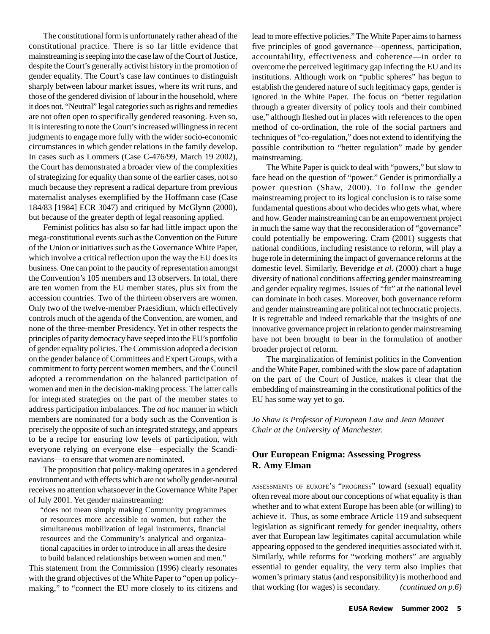The constitutional form is unfortunately rather ahead of the constitutional practice. There is so far little evidence that mainstreaming is seeping into the case law of the Court of Justice, despite the Court's generally activist history in the promotion of gender equality. The Court's case law continues to distinguish sharply between labour market issues, where its writ runs, and those of the gendered division of labour in the household, where it does not. "Neutral" legal categories such as rights and remedies are not often open to specifically gendered reasoning. Even so, it is interesting to note the Court's increased willingness in recent judgments to engage more fully with the wider socio-economic circumstances in which gender relations in the family develop. In cases such as Lommers (Case C-476/99, March 19 2002), the Court has demonstrated a broader view of the complexities of strategizing for equality than some of the earlier cases, not so much because they represent a radical departure from previous maternalist analyses exemplified by the Hoffmann case (Case 184/83 [1984] ECR 3047) and critiqued by McGlynn (2000), but because of the greater depth of legal reasoning applied.

Feminist politics has also so far had little impact upon the mega-constitutional events such as the Convention on the Future of the Union or initiatives such as the Governance White Paper, which involve a critical reflection upon the way the EU does its business. One can point to the paucity of representation amongst the Convention's 105 members and 13 observers. In total, there are ten women from the EU member states, plus six from the accession countries. Two of the thirteen observers are women. Only two of the twelve-member Praesidium, which effectively controls much of the agenda of the Convention, are women, and none of the three-member Presidency. Yet in other respects the principles of parity democracy have seeped into the EU's portfolio of gender equality policies. The Commission adopted a decision on the gender balance of Committees and Expert Groups, with a commitment to forty percent women members, and the Council adopted a recommendation on the balanced participation of women and men in the decision-making process. The latter calls for integrated strategies on the part of the member states to address participation imbalances. The *ad hoc* manner in which members are nominated for a body such as the Convention is precisely the opposite of such an integrated strategy, and appears to be a recipe for ensuring low levels of participation, with everyone relying on everyone else—especially the Scandinavians—to ensure that women are nominated.

The proposition that policy-making operates in a gendered environment and with effects which are not wholly gender-neutral receives no attention whatsoever in the Governance White Paper of July 2001. Yet gender mainstreaming:

"does not mean simply making Community programmes or resources more accessible to women, but rather the simultaneous mobilization of legal instruments, financial resources and the Community's analytical and organizational capacities in order to introduce in all areas the desire to build balanced relationships between women and men."

This statement from the Commission (1996) clearly resonates with the grand objectives of the White Paper to "open up policymaking," to "connect the EU more closely to its citizens and lead to more effective policies." The White Paper aims to harness five principles of good governance—openness, participation, accountability, effectiveness and coherence—in order to overcome the perceived legitimacy gap infecting the EU and its institutions. Although work on "public spheres" has begun to establish the gendered nature of such legitimacy gaps, gender is ignored in the White Paper. The focus on "better regulation through a greater diversity of policy tools and their combined use," although fleshed out in places with references to the open method of co-ordination, the role of the social partners and techniques of "co-regulation," does not extend to identifying the possible contribution to "better regulation" made by gender mainstreaming.

The White Paper is quick to deal with "powers," but slow to face head on the question of "power." Gender is primordially a power question (Shaw, 2000). To follow the gender mainstreaming project to its logical conclusion is to raise some fundamental questions about who decides who gets what, where and how. Gender mainstreaming can be an empowerment project in much the same way that the reconsideration of "governance" could potentially be empowering. Cram (2001) suggests that national conditions, including resistance to reform, will play a huge role in determining the impact of governance reforms at the domestic level. Similarly, Beveridge *et al.* (2000) chart a huge diversity of national conditions affecting gender mainstreaming and gender equality regimes. Issues of "fit" at the national level can dominate in both cases. Moreover, both governance reform and gender mainstreaming are political not technocratic projects. It is regrettable and indeed remarkable that the insights of one innovative governance project in relation to gender mainstreaming have not been brought to bear in the formulation of another broader project of reform.

The marginalization of feminist politics in the Convention and the White Paper, combined with the slow pace of adaptation on the part of the Court of Justice, makes it clear that the embedding of mainstreaming in the constitutional politics of the EU has some way yet to go.

*Jo Shaw is Professor of European Law and Jean Monnet Chair at the University of Manchester.*

#### **Our European Enigma: Assessing Progress R. Amy Elman**

ASSESSMENTS OF EUROPE'S "PROGRESS" toward (sexual) equality often reveal more about our conceptions of what equality is than whether and to what extent Europe has been able (or willing) to achieve it. Thus, as some embrace Article 119 and subsequent legislation as significant remedy for gender inequality, others aver that European law legitimates capital accumulation while appearing opposed to the gendered inequities associated with it. Similarly, while reforms for "working mothers" are arguably essential to gender equality, the very term also implies that women's primary status (and responsibility) is motherhood and that working (for wages) is secondary. *(continued on p.6)*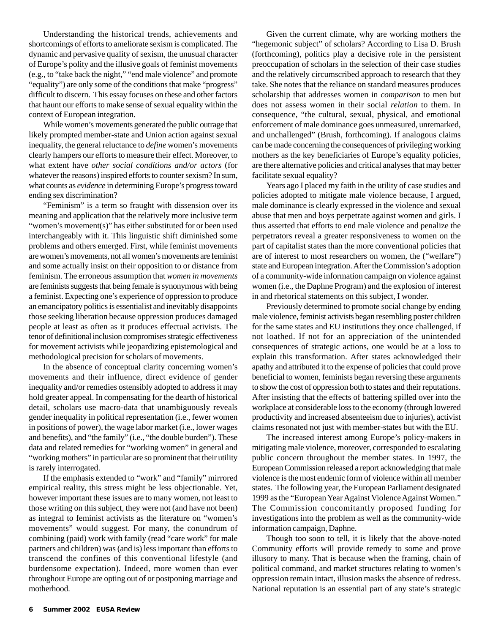Understanding the historical trends, achievements and shortcomings of efforts to ameliorate sexism is complicated. The dynamic and pervasive quality of sexism, the unusual character of Europe's polity and the illusive goals of feminist movements (e.g., to "take back the night," "end male violence" and promote "equality") are only some of the conditions that make "progress" difficult to discern. This essay focuses on these and other factors that haunt our efforts to make sense of sexual equality within the context of European integration.

While women's movements generated the public outrage that likely prompted member-state and Union action against sexual inequality, the general reluctance to *define* women's movements clearly hampers our efforts to measure their effect. Moreover, to what extent have *other social conditions and/or actors* (for whatever the reasons) inspired efforts to counter sexism? In sum, what counts as *evidence* in determining Europe's progress toward ending sex discrimination?

"Feminism" is a term so fraught with dissension over its meaning and application that the relatively more inclusive term "women's movement(s)" has either substituted for or been used interchangeably with it. This linguistic shift diminished some problems and others emerged. First, while feminist movements are women's movements, not all women's movements are feminist and some actually insist on their opposition to or distance from feminism. The erroneous assumption that *women in movements* are feminists suggests that being female is synonymous with being a feminist. Expecting one's experience of oppression to produce an emancipatory politics is essentialist and inevitably disappoints those seeking liberation because oppression produces damaged people at least as often as it produces effectual activists. The tenor of definitional inclusion compromises strategic effectiveness for movement activists while jeopardizing epistemological and methodological precision for scholars of movements.

In the absence of conceptual clarity concerning women's movements and their influence, direct evidence of gender inequality and/or remedies ostensibly adopted to address it may hold greater appeal. In compensating for the dearth of historical detail, scholars use macro-data that unambiguously reveals gender inequality in political representation (i.e., fewer women in positions of power), the wage labor market (i.e., lower wages and benefits), and "the family" (i.e., "the double burden"). These data and related remedies for "working women" in general and "working mothers" in particular are so prominent that their utility is rarely interrogated.

If the emphasis extended to "work" and "family" mirrored empirical reality, this stress might be less objectionable. Yet, however important these issues are to many women, not least to those writing on this subject, they were not (and have not been) as integral to feminist activists as the literature on "women's movements" would suggest. For many, the conundrum of combining (paid) work with family (read "care work" for male partners and children) was (and is) less important than efforts to transcend the confines of this conventional lifestyle (and burdensome expectation). Indeed, more women than ever throughout Europe are opting out of or postponing marriage and motherhood.

Given the current climate, why are working mothers the "hegemonic subject" of scholars? According to Lisa D. Brush (forthcoming), politics play a decisive role in the persistent preoccupation of scholars in the selection of their case studies and the relatively circumscribed approach to research that they take. She notes that the reliance on standard measures produces scholarship that addresses women in *comparison* to men but does not assess women in their social *relation* to them. In consequence, "the cultural, sexual, physical, and emotional enforcement of male dominance goes unmeasured, unremarked, and unchallenged" (Brush, forthcoming). If analogous claims can be made concerning the consequences of privileging working mothers as the key beneficiaries of Europe's equality policies, are there alternative policies and critical analyses that may better facilitate sexual equality?

Years ago I placed my faith in the utility of case studies and policies adopted to mitigate male violence because, I argued, male dominance is clearly expressed in the violence and sexual abuse that men and boys perpetrate against women and girls. I thus asserted that efforts to end male violence and penalize the perpetrators reveal a greater responsiveness to women on the part of capitalist states than the more conventional policies that are of interest to most researchers on women, the ("welfare") state and European integration. After the Commission's adoption of a community-wide information campaign on violence against women (i.e., the Daphne Program) and the explosion of interest in and rhetorical statements on this subject, I wonder.

Previously determined to promote social change by ending male violence, feminist activists began resembling poster children for the same states and EU institutions they once challenged, if not loathed. If not for an appreciation of the unintended consequences of strategic actions, one would be at a loss to explain this transformation. After states acknowledged their apathy and attributed it to the expense of policies that could prove beneficial to women, feminists began reversing these arguments to show the cost of oppression both to states and their reputations. After insisting that the effects of battering spilled over into the workplace at considerable loss to the economy (through lowered productivity and increased absenteeism due to injuries), activist claims resonated not just with member-states but with the EU.

The increased interest among Europe's policy-makers in mitigating male violence, moreover, corresponded to escalating public concern throughout the member states. In 1997, the European Commission released a report acknowledging that male violence is the most endemic form of violence within all member states. The following year, the European Parliament designated 1999 as the "European Year Against Violence Against Women." The Commission concomitantly proposed funding for investigations into the problem as well as the community-wide information campaign, Daphne.

Though too soon to tell, it is likely that the above-noted Community efforts will provide remedy to some and prove illusory to many. That is because when the framing, chain of political command, and market structures relating to women's oppression remain intact, illusion masks the absence of redress. National reputation is an essential part of any state's strategic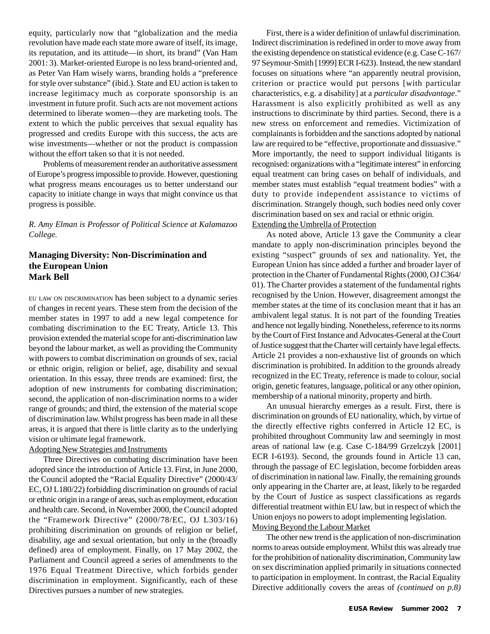equity, particularly now that "globalization and the media revolution have made each state more aware of itself, its image, its reputation, and its attitude—in short, its brand" (Van Ham 2001: 3). Market-oriented Europe is no less brand-oriented and, as Peter Van Ham wisely warns, branding holds a "preference for style over substance" (ibid.). State and EU action is taken to increase legitimacy much as corporate sponsorship is an investment in future profit. Such acts are not movement actions determined to liberate women—they are marketing tools. The extent to which the public perceives that sexual equality has progressed and credits Europe with this success, the acts are wise investments—whether or not the product is compassion without the effort taken so that it is not needed.

Problems of measurement render an authoritative assessment of Europe's progress impossible to provide. However, questioning what progress means encourages us to better understand our capacity to initiate change in ways that might convince us that progress is possible.

*R. Amy Elman is Professor of Political Science at Kalamazoo College.*

#### **Managing Diversity: Non-Discrimination and the European Union Mark Bell**

EU LAW ON DISCRIMINATION has been subject to a dynamic series of changes in recent years. These stem from the decision of the member states in 1997 to add a new legal competence for combating discrimination to the EC Treaty, Article 13. This provision extended the material scope for anti-discrimination law beyond the labour market, as well as providing the Community with powers to combat discrimination on grounds of sex, racial or ethnic origin, religion or belief, age, disability and sexual orientation. In this essay, three trends are examined: first, the adoption of new instruments for combating discrimination; second, the application of non-discrimination norms to a wider range of grounds; and third, the extension of the material scope of discrimination law. Whilst progress has been made in all these areas, it is argued that there is little clarity as to the underlying vision or ultimate legal framework.

#### Adopting New Strategies and Instruments

Three Directives on combating discrimination have been adopted since the introduction of Article 13. First, in June 2000, the Council adopted the "Racial Equality Directive" (2000/43/ EC, OJ L180/22) forbidding discrimination on grounds of racial or ethnic origin in a range of areas, such as employment, education and health care. Second, in November 2000, the Council adopted the "Framework Directive" (2000/78/EC, OJ L303/16) prohibiting discrimination on grounds of religion or belief, disability, age and sexual orientation, but only in the (broadly defined) area of employment. Finally, on 17 May 2002, the Parliament and Council agreed a series of amendments to the 1976 Equal Treatment Directive, which forbids gender discrimination in employment. Significantly, each of these Directives pursues a number of new strategies.

First, there is a wider definition of unlawful discrimination. Indirect discrimination is redefined in order to move away from the existing dependence on statistical evidence (e.g. Case C-167/ 97 Seymour-Smith [1999] ECR I-623). Instead, the new standard focuses on situations where "an apparently neutral provision, criterion or practice would put persons [with particular characteristics, e.g. a disability] at a *particular disadvantage*." Harassment is also explicitly prohibited as well as any instructions to discriminate by third parties. Second, there is a new stress on enforcement and remedies. Victimization of complainants is forbidden and the sanctions adopted by national law are required to be "effective, proportionate and dissuasive." More importantly, the need to support individual litigants is recognised: organizations with a "legitimate interest" in enforcing equal treatment can bring cases on behalf of individuals, and member states must establish "equal treatment bodies" with a duty to provide independent assistance to victims of discrimination. Strangely though, such bodies need only cover discrimination based on sex and racial or ethnic origin.

#### Extending the Umbrella of Protection

As noted above, Article 13 gave the Community a clear mandate to apply non-discrimination principles beyond the existing "suspect" grounds of sex and nationality. Yet, the European Union has since added a further and broader layer of protection in the Charter of Fundamental Rights (2000, OJ C364/ 01). The Charter provides a statement of the fundamental rights recognised by the Union. However, disagreement amongst the member states at the time of its conclusion meant that it has an ambivalent legal status. It is not part of the founding Treaties and hence not legally binding. Nonetheless, reference to its norms by the Court of First Instance and Advocates-General at the Court of Justice suggest that the Charter will certainly have legal effects. Article 21 provides a non-exhaustive list of grounds on which discrimination is prohibited. In addition to the grounds already recognized in the EC Treaty, reference is made to colour, social origin, genetic features, language, political or any other opinion, membership of a national minority, property and birth.

An unusual hierarchy emerges as a result. First, there is discrimination on grounds of EU nationality, which, by virtue of the directly effective rights conferred in Article 12 EC, is prohibited throughout Community law and seemingly in most areas of national law (e.g. Case C-184/99 Grzelczyk [2001] ECR I-6193). Second, the grounds found in Article 13 can, through the passage of EC legislation, become forbidden areas of discrimination in national law. Finally, the remaining grounds only appearing in the Charter are, at least, likely to be regarded by the Court of Justice as suspect classifications as regards differential treatment within EU law, but in respect of which the Union enjoys no powers to adopt implementing legislation. Moving Beyond the Labour Market

The other new trend is the application of non-discrimination norms to areas outside employment. Whilst this was already true for the prohibition of nationality discrimination, Community law on sex discrimination applied primarily in situations connected to participation in employment. In contrast, the Racial Equality Directive additionally covers the areas of *(continued on p.8)*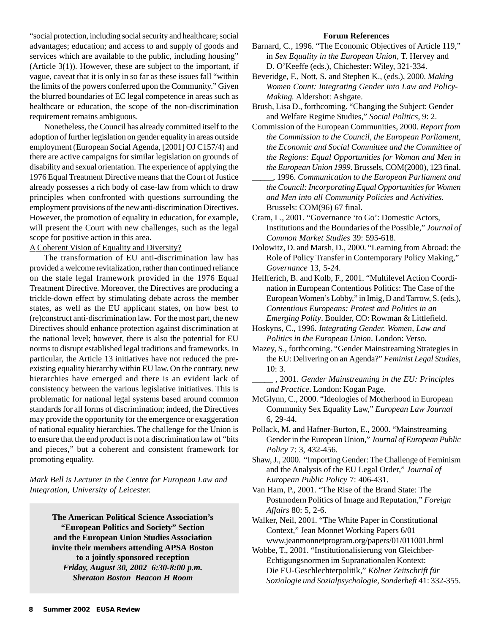"social protection, including social security and healthcare; social advantages; education; and access to and supply of goods and services which are available to the public, including housing" (Article 3(1)). However, these are subject to the important, if vague, caveat that it is only in so far as these issues fall "within the limits of the powers conferred upon the Community." Given the blurred boundaries of EC legal competence in areas such as healthcare or education, the scope of the non-discrimination requirement remains ambiguous.

Nonetheless, the Council has already committed itself to the adoption of further legislation on gender equality in areas outside employment (European Social Agenda, [2001] OJ C157/4) and there are active campaigns for similar legislation on grounds of disability and sexual orientation. The experience of applying the 1976 Equal Treatment Directive means that the Court of Justice already possesses a rich body of case-law from which to draw principles when confronted with questions surrounding the employment provisions of the new anti-discrimination Directives. However, the promotion of equality in education, for example, will present the Court with new challenges, such as the legal scope for positive action in this area.

A Coherent Vision of Equality and Diversity?

The transformation of EU anti-discrimination law has provided a welcome revitalization, rather than continued reliance on the stale legal framework provided in the 1976 Equal Treatment Directive. Moreover, the Directives are producing a trickle-down effect by stimulating debate across the member states, as well as the EU applicant states, on how best to (re)construct anti-discrimination law. For the most part, the new Directives should enhance protection against discrimination at the national level; however, there is also the potential for EU norms to disrupt established legal traditions and frameworks. In particular, the Article 13 initiatives have not reduced the preexisting equality hierarchy within EU law. On the contrary, new hierarchies have emerged and there is an evident lack of consistency between the various legislative initiatives. This is problematic for national legal systems based around common standards for all forms of discrimination; indeed, the Directives may provide the opportunity for the emergence or exaggeration of national equality hierarchies. The challenge for the Union is to ensure that the end product is not a discrimination law of "bits and pieces," but a coherent and consistent framework for promoting equality.

*Mark Bell is Lecturer in the Centre for European Law and Integration, University of Leicester.*

> **The American Political Science Association's "European Politics and Society" Section and the European Union Studies Association invite their members attending APSA Boston to a jointly sponsored reception** *Friday, August 30, 2002 6:30-8:00 p.m. Sheraton Boston Beacon H Room*

#### **Forum References**

- Barnard, C., 1996. "The Economic Objectives of Article 119," in *Sex Equality in the European Union*, T. Hervey and D. O'Keeffe (eds.), Chichester: Wiley, 321-334.
- Beveridge, F., Nott, S. and Stephen K., (eds.), 2000. *Making Women Count: Integrating Gender into Law and Policy-Making.* Aldershot: Ashgate.
- Brush, Lisa D., forthcoming. "Changing the Subject: Gender and Welfare Regime Studies," *Social Politics*, 9: 2.
- Commission of the European Communities, 2000. *Report from the Commission to the Council, the European Parliament, the Economic and Social Committee and the Committee of the Regions: Equal Opportunities for Woman and Men in the European Union 1999*. Brussels, COM(2000), 123 final.
- \_\_\_\_\_, 1996. *Communication to the European Parliament and the Council: Incorporating Equal Opportunities for Women and Men into all Community Policies and Activities*. Brussels: COM(96) 67 final.
- Cram, L., 2001. "Governance 'to Go': Domestic Actors, Institutions and the Boundaries of the Possible," *Journal of Common Market Studies* 39: 595-618.
- Dolowitz, D. and Marsh, D., 2000. "Learning from Abroad: the Role of Policy Transfer in Contemporary Policy Making," *Governance* 13, 5-24.
- Helfferich, B. and Kolb, F., 2001. "Multilevel Action Coordination in European Contentious Politics: The Case of the European Women's Lobby," in Imig, D and Tarrow, S. (eds.), *Contentious Europeans: Protest and Politics in an Emerging Polity*. Boulder, CO: Rowman & Littlefield.
- Hoskyns, C., 1996. *Integrating Gender. Women, Law and Politics in the European Union*. London: Verso.
- Mazey, S., forthcoming. "Gender Mainstreaming Strategies in the EU: Delivering on an Agenda?" *Feminist Legal Studies*, 10: 3.

\_\_\_\_\_ , 2001. *Gender Mainstreaming in the EU: Principles and Practice*. London: Kogan Page.

- McGlynn, C., 2000. "Ideologies of Motherhood in European Community Sex Equality Law," *European Law Journal* 6, 29-44.
- Pollack, M. and Hafner-Burton, E., 2000. "Mainstreaming Gender in the European Union," *Journal of European Public Policy* 7: 3, 432-456.
- Shaw, J., 2000. "Importing Gender: The Challenge of Feminism and the Analysis of the EU Legal Order," *Journal of European Public Policy* 7: 406-431.
- Van Ham, P., 2001. "The Rise of the Brand State: The Postmodern Politics of Image and Reputation," *Foreign Affairs* 80: 5, 2-6.
- Walker, Neil, 2001. "The White Paper in Constitutional Context," Jean Monnet Working Papers 6/01 www.jeanmonnetprogram.org/papers/01/011001.html

Wobbe, T., 2001. "Institutionalisierung von Gleichber-Echtigungsnormen im Supranationalen Kontext: Die EU-Geschlechterpolitik," *Kölner Zeitschrift für Soziologie und Sozialpsychologie, Sonderheft* 41: 332-355.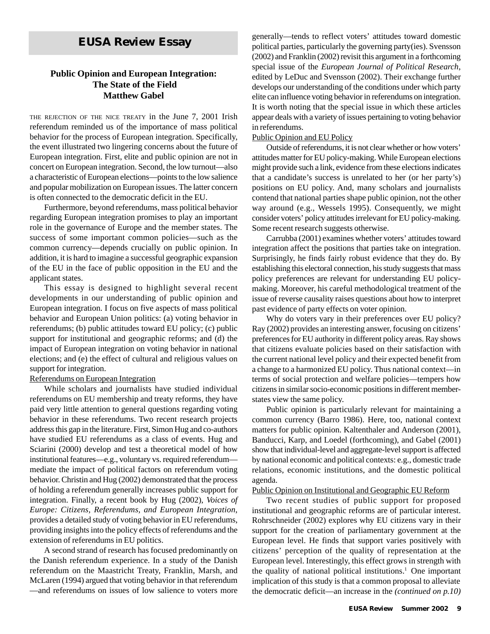# *EUSA Review* **Essay**

#### **Public Opinion and European Integration: The State of the Field Matthew Gabel**

THE REJECTION OF THE NICE TREATY in the June 7, 2001 Irish referendum reminded us of the importance of mass political behavior for the process of European integration. Specifically, the event illustrated two lingering concerns about the future of European integration. First, elite and public opinion are not in concert on European integration. Second, the low turnout—also a characteristic of European elections—points to the low salience and popular mobilization on European issues. The latter concern is often connected to the democratic deficit in the EU.

Furthermore, beyond referendums, mass political behavior regarding European integration promises to play an important role in the governance of Europe and the member states. The success of some important common policies—such as the common currency—depends crucially on public opinion. In addition, it is hard to imagine a successful geographic expansion of the EU in the face of public opposition in the EU and the applicant states.

This essay is designed to highlight several recent developments in our understanding of public opinion and European integration. I focus on five aspects of mass political behavior and European Union politics: (a) voting behavior in referendums; (b) public attitudes toward EU policy; (c) public support for institutional and geographic reforms; and (d) the impact of European integration on voting behavior in national elections; and (e) the effect of cultural and religious values on support for integration.

#### Referendums on European Integration

While scholars and journalists have studied individual referendums on EU membership and treaty reforms, they have paid very little attention to general questions regarding voting behavior in these referendums. Two recent research projects address this gap in the literature. First, Simon Hug and co-authors have studied EU referendums as a class of events. Hug and Sciarini (2000) develop and test a theoretical model of how institutional features—e.g., voluntary vs. required referendum mediate the impact of political factors on referendum voting behavior. Christin and Hug (2002) demonstrated that the process of holding a referendum generally increases public support for integration. Finally, a recent book by Hug (2002), *Voices of Europe: Citizens, Referendums, and European Integration*, provides a detailed study of voting behavior in EU referendums, providing insights into the policy effects of referendums and the extension of referendums in EU politics.

A second strand of research has focused predominantly on the Danish referendum experience. In a study of the Danish referendum on the Maastricht Treaty, Franklin, Marsh, and McLaren (1994) argued that voting behavior in that referendum —and referendums on issues of low salience to voters more generally—tends to reflect voters' attitudes toward domestic political parties, particularly the governing party(ies). Svensson (2002) and Franklin (2002) revisit this argument in a forthcoming special issue of the *European Journal of Political Research*, edited by LeDuc and Svensson (2002). Their exchange further develops our understanding of the conditions under which party elite can influence voting behavior in referendums on integration. It is worth noting that the special issue in which these articles appear deals with a variety of issues pertaining to voting behavior in referendums.

#### Public Opinion and EU Policy

Outside of referendums, it is not clear whether or how voters' attitudes matter for EU policy-making. While European elections might provide such a link, evidence from these elections indicates that a candidate's success is unrelated to her (or her party's) positions on EU policy. And, many scholars and journalists contend that national parties shape public opinion, not the other way around (e.g., Wessels 1995). Consequently, we might consider voters' policy attitudes irrelevant for EU policy-making. Some recent research suggests otherwise.

Carrubba (2001) examines whether voters' attitudes toward integration affect the positions that parties take on integration. Surprisingly, he finds fairly robust evidence that they do. By establishing this electoral connection, his study suggests that mass policy preferences are relevant for understanding EU policymaking. Moreover, his careful methodological treatment of the issue of reverse causality raises questions about how to interpret past evidence of party effects on voter opinion.

Why do voters vary in their preferences over EU policy? Ray (2002) provides an interesting answer, focusing on citizens' preferences for EU authority in different policy areas. Ray shows that citizens evaluate policies based on their satisfaction with the current national level policy and their expected benefit from a change to a harmonized EU policy. Thus national context—in terms of social protection and welfare policies—tempers how citizens in similar socio-economic positions in different memberstates view the same policy.

Public opinion is particularly relevant for maintaining a common currency (Barro 1986). Here, too, national context matters for public opinion. Kaltenthaler and Anderson (2001), Banducci, Karp, and Loedel (forthcoming), and Gabel (2001) show that individual-level and aggregate-level support is affected by national economic and political contexts: e.g., domestic trade relations, economic institutions, and the domestic political agenda.

#### Public Opinion on Institutional and Geographic EU Reform

Two recent studies of public support for proposed institutional and geographic reforms are of particular interest. Rohrschneider (2002) explores why EU citizens vary in their support for the creation of parliamentary government at the European level. He finds that support varies positively with citizens' perception of the quality of representation at the European level. Interestingly, this effect grows in strength with the quality of national political institutions.<sup>1</sup> One important implication of this study is that a common proposal to alleviate the democratic deficit—an increase in the *(continued on p.10)*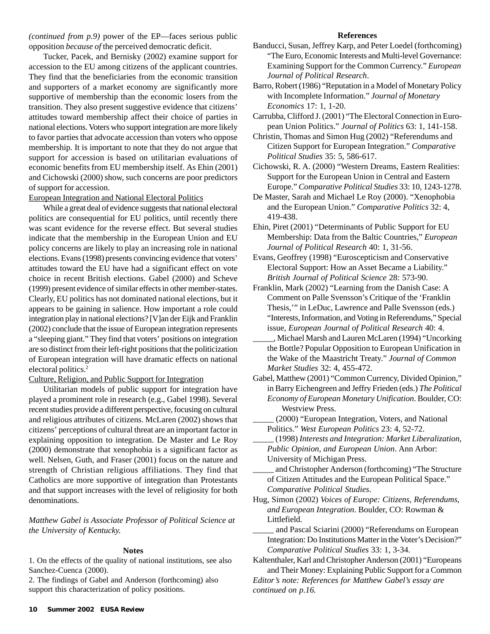*(continued from p.9)* power of the EP—faces serious public opposition *because of* the perceived democratic deficit.

Tucker, Pacek, and Bernisky (2002) examine support for accession to the EU among citizens of the applicant countries. They find that the beneficiaries from the economic transition and supporters of a market economy are significantly more supportive of membership than the economic losers from the transition. They also present suggestive evidence that citizens' attitudes toward membership affect their choice of parties in national elections. Voters who support integration are more likely to favor parties that advocate accession than voters who oppose membership. It is important to note that they do not argue that support for accession is based on utilitarian evaluations of economic benefits from EU membership itself. As Ehin (2001) and Cichowski (2000) show, such concerns are poor predictors of support for accession.

#### European Integration and National Electoral Politics

While a great deal of evidence suggests that national electoral politics are consequential for EU politics, until recently there was scant evidence for the reverse effect. But several studies indicate that the membership in the European Union and EU policy concerns are likely to play an increasing role in national elections. Evans (1998) presents convincing evidence that voters' attitudes toward the EU have had a significant effect on vote choice in recent British elections. Gabel (2000) and Scheve (1999) present evidence of similar effects in other member-states. Clearly, EU politics has not dominated national elections, but it appears to be gaining in salience. How important a role could integration play in national elections? [V]an der Eijk and Franklin (2002) conclude that the issue of European integration represents a "sleeping giant." They find that voters' positions on integration are so distinct from their left-right positions that the politicization of European integration will have dramatic effects on national electoral politics.2

#### Culture, Religion, and Public Support for Integration

Utilitarian models of public support for integration have played a prominent role in research (e.g., Gabel 1998). Several recent studies provide a different perspective, focusing on cultural and religious attributes of citizens. McLaren (2002) shows that citizens' perceptions of cultural threat are an important factor in explaining opposition to integration. De Master and Le Roy (2000) demonstrate that xenophobia is a significant factor as well. Nelsen, Guth, and Fraser (2001) focus on the nature and strength of Christian religious affiliations. They find that Catholics are more supportive of integration than Protestants and that support increases with the level of religiosity for both denominations.

*Matthew Gabel is Associate Professor of Political Science at the University of Kentucky.*

#### **Notes**

1. On the effects of the quality of national institutions, see also Sanchez-Cuenca (2000).

2. The findings of Gabel and Anderson (forthcoming) also support this characterization of policy positions.

#### **References**

- Banducci, Susan, Jeffrey Karp, and Peter Loedel (forthcoming) "The Euro, Economic Interests and Multi-level Governance: Examining Support for the Common Currency." *European Journal of Political Research*.
- Barro, Robert (1986) "Reputation in a Model of Monetary Policy with Incomplete Information." *Journal of Monetary Economics* 17: 1, 1-20.
- Carrubba, Clifford J. (2001) "The Electoral Connection in European Union Politics." *Journal of Politics* 63: 1, 141-158.
- Christin, Thomas and Simon Hug (2002) "Referendums and Citizen Support for European Integration." *Comparative Political Studies* 35: 5, 586-617.
- Cichowski, R. A. (2000) "Western Dreams, Eastern Realities: Support for the European Union in Central and Eastern Europe." *Comparative Political Studies* 33: 10, 1243-1278.
- De Master, Sarah and Michael Le Roy (2000). "Xenophobia and the European Union." *Comparative Politics* 32: 4, 419-438.
- Ehin, Piret (2001) "Determinants of Public Support for EU Membership: Data from the Baltic Countries," *European Journal of Political Research* 40: 1, 31-56.
- Evans, Geoffrey (1998) "Euroscepticism and Conservative Electoral Support: How an Asset Became a Liability." *British Journal of Political Science* 28: 573-90.
- Franklin, Mark (2002) "Learning from the Danish Case: A Comment on Palle Svensson's Critique of the 'Franklin Thesis,'" in LeDuc, Lawrence and Palle Svensson (eds.) "Interests, Information, and Voting in Referendums," Special issue, *European Journal of Political Research* 40: 4.
- \_\_\_\_\_, Michael Marsh and Lauren McLaren (1994) "Uncorking the Bottle? Popular Opposition to European Unification in the Wake of the Maastricht Treaty." *Journal of Common Market Studies* 32: 4, 455-472.
- Gabel, Matthew (2001) "Common Currency, Divided Opinion," in Barry Eichengreen and Jeffry Frieden (eds.) *The Political Economy of European Monetary Unification*. Boulder, CO: Westview Press.
	- \_\_\_\_\_ (2000) "European Integration, Voters, and National Politics." *West European Politics* 23: 4, 52-72.
	- \_\_\_\_\_ (1998) *Interests and Integration: Market Liberalization, Public Opinion, and European Union*. Ann Arbor: University of Michigan Press.
	- \_\_\_\_\_ and Christopher Anderson (forthcoming) "The Structure of Citizen Attitudes and the European Political Space." *Comparative Political Studies*.
- Hug, Simon (2002) *Voices of Europe: Citizens, Referendums, and European Integration*. Boulder, CO: Rowman & Littlefield.
	- and Pascal Sciarini (2000) "Referendums on European Integration: Do Institutions Matter in the Voter's Decision?" *Comparative Political Studies* 33: 1, 3-34.

Kaltenthaler, Karl and Christopher Anderson (2001) "Europeans and Their Money: Explaining Public Support for a Common

*Editor's note: References for Matthew Gabel's essay are continued on p.16.*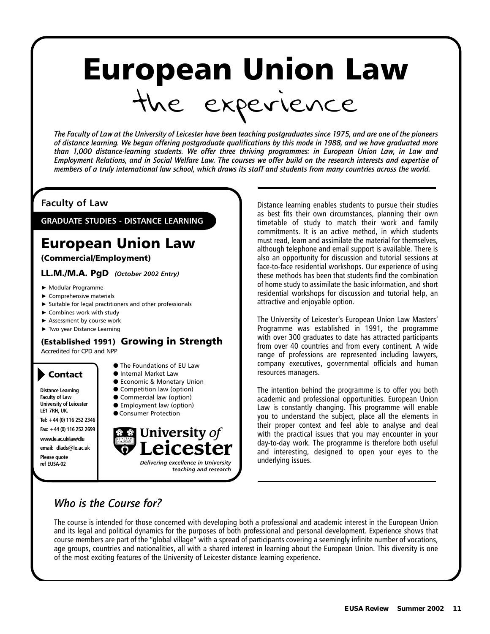# European Union Law the experience

*The Faculty of Law at the University of Leicester have been teaching postgraduates since 1975, and are one of the pioneers of distance learning. We began offering postgraduate qualifications by this mode in 1988, and we have graduated more than 1,000 distance-learning students. We offer three thriving programmes: in European Union Law, in Law and Employment Relations, and in Social Welfare Law. The courses we offer build on the research interests and expertise of members of a truly international law school, which draws its staff and students from many countries across the world.*

## **Faculty of Law**

**GRADUATE STUDIES - DISTANCE LEARNING**

# European Union Law

#### (Commercial/Employment)

LL.M./M.A. PgD *(October 2002 Entry)*

- Modular Programme
- Comprehensive materials
- $\blacktriangleright$  Suitable for legal practitioners and other professionals
- ▶ Combines work with study
- Assessment by course work
- ▶ Two year Distance Learning

# (Established 1991) Growing in Strength

Accredited for CPD and NPP

# Contact

**Distance Learning Faculty of Law University of Leicester LE1 7RH, UK.**

**Tel: +44 (0) 116 252 2346 Fax: +44 (0) 116 252 2699**

**www.le.ac.uk/law/dlu email: dlads@le.ac.uk Please quote** 



- Internal Market Law
- Economic & Monetary Union
- Competition law (option)
- Commercial law (option)
- Employment law (option)
- Consumer Protection



Distance learning enables students to pursue their studies as best fits their own circumstances, planning their own timetable of study to match their work and family commitments. It is an active method, in which students must read, learn and assimilate the material for themselves, although telephone and email support is available. There is also an opportunity for discussion and tutorial sessions at face-to-face residential workshops. Our experience of using these methods has been that students find the combination of home study to assimilate the basic information, and short residential workshops for discussion and tutorial help, an attractive and enjoyable option.

The University of Leicester's European Union Law Masters' Programme was established in 1991, the programme with over 300 graduates to date has attracted participants from over 40 countries and from every continent. A wide range of professions are represented including lawyers, company executives, governmental officials and human resources managers.

The intention behind the programme is to offer you both academic and professional opportunities. European Union Law is constantly changing. This programme will enable you to understand the subject, place all the elements in their proper context and feel able to analyse and deal with the practical issues that you may encounter in your day-to-day work. The programme is therefore both useful and interesting, designed to open your eyes to the underlying issues.

# *Who is the Course for?*

The course is intended for those concerned with developing both a professional and academic interest in the European Union and its legal and political dynamics for the purposes of both professional and personal development. Experience shows that course members are part of the "global village" with a spread of participants covering a seemingly infinite number of vocations, age groups, countries and nationalities, all with a shared interest in learning about the European Union. This diversity is one of the most exciting features of the University of Leicester distance learning experience.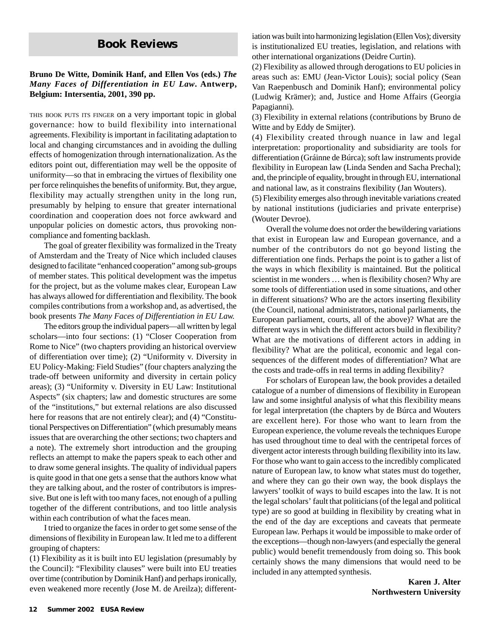# **Book Reviews**

#### **Bruno De Witte, Dominik Hanf, and Ellen Vos (eds.)** *The Many Faces of Differentiation in EU Law***. Antwerp, Belgium: Intersentia, 2001, 390 pp.**

THIS BOOK PUTS ITS FINGER on a very important topic in global governance: how to build flexibility into international agreements. Flexibility is important in facilitating adaptation to local and changing circumstances and in avoiding the dulling effects of homogenization through internationalization. As the editors point out, differentiation may well be the opposite of uniformity—so that in embracing the virtues of flexibility one per force relinquishes the benefits of uniformity. But, they argue, flexibility may actually strengthen unity in the long run, presumably by helping to ensure that greater international coordination and cooperation does not force awkward and unpopular policies on domestic actors, thus provoking noncompliance and fomenting backlash.

The goal of greater flexibility was formalized in the Treaty of Amsterdam and the Treaty of Nice which included clauses designed to facilitate "enhanced cooperation" among sub-groups of member states. This political development was the impetus for the project, but as the volume makes clear, European Law has always allowed for differentiation and flexibility. The book compiles contributions from a workshop and, as advertised, the book presents *The Many Faces of Differentiation in EU Law.*

The editors group the individual papers—all written by legal scholars—into four sections: (1) "Closer Cooperation from Rome to Nice" (two chapters providing an historical overview of differentiation over time); (2) "Uniformity v. Diversity in EU Policy-Making: Field Studies" (four chapters analyzing the trade-off between uniformity and diversity in certain policy areas); (3) "Uniformity v. Diversity in EU Law: Institutional Aspects" (six chapters; law and domestic structures are some of the "institutions," but external relations are also discussed here for reasons that are not entirely clear); and (4) "Constitutional Perspectives on Differentiation" (which presumably means issues that are overarching the other sections; two chapters and a note). The extremely short introduction and the grouping reflects an attempt to make the papers speak to each other and to draw some general insights. The quality of individual papers is quite good in that one gets a sense that the authors know what they are talking about, and the roster of contributors is impressive. But one is left with too many faces, not enough of a pulling together of the different contributions, and too little analysis within each contribution of what the faces mean.

I tried to organize the faces in order to get some sense of the dimensions of flexibility in European law. It led me to a different grouping of chapters:

(1) Flexibility as it is built into EU legislation (presumably by the Council): "Flexibility clauses" were built into EU treaties over time (contribution by Dominik Hanf) and perhaps ironically, even weakened more recently (Jose M. de Areilza); differentiation was built into harmonizing legislation (Ellen Vos); diversity is institutionalized EU treaties, legislation, and relations with other international organizations (Deidre Curtin).

(2) Flexibility as allowed through derogations to EU policies in areas such as: EMU (Jean-Victor Louis); social policy (Sean Van Raepenbusch and Dominik Hanf); environmental policy (Ludwig Krämer); and, Justice and Home Affairs (Georgia Papagianni).

(3) Flexibility in external relations (contributions by Bruno de Witte and by Eddy de Smijter).

(4) Flexibility created through nuance in law and legal interpretation: proportionality and subsidiarity are tools for differentiation (Gráinne de Búrca); soft law instruments provide flexibility in European law (Linda Senden and Sacha Prechal); and, the principle of equality, brought in through EU, international and national law, as it constrains flexibility (Jan Wouters).

(5) Flexibility emerges also through inevitable variations created by national institutions (judiciaries and private enterprise) (Wouter Devroe).

Overall the volume does not order the bewildering variations that exist in European law and European governance, and a number of the contributors do not go beyond listing the differentiation one finds. Perhaps the point is to gather a list of the ways in which flexibility is maintained. But the political scientist in me wonders … when is flexibility chosen? Why are some tools of differentiation used in some situations, and other in different situations? Who are the actors inserting flexibility (the Council, national administrators, national parliaments, the European parliament, courts, all of the above)? What are the different ways in which the different actors build in flexibility? What are the motivations of different actors in adding in flexibility? What are the political, economic and legal consequences of the different modes of differentiation? What are the costs and trade-offs in real terms in adding flexibility?

For scholars of European law, the book provides a detailed catalogue of a number of dimensions of flexibility in European law and some insightful analysis of what this flexibility means for legal interpretation (the chapters by de Búrca and Wouters are excellent here). For those who want to learn from the European experience, the volume reveals the techniques Europe has used throughout time to deal with the centripetal forces of divergent actor interests through building flexibility into its law. For those who want to gain access to the incredibly complicated nature of European law, to know what states must do together, and where they can go their own way, the book displays the lawyers' toolkit of ways to build escapes into the law. It is not the legal scholars' fault that politicians (of the legal and political type) are so good at building in flexibility by creating what in the end of the day are exceptions and caveats that permeate European law. Perhaps it would be impossible to make order of the exceptions—though non-lawyers (and especially the general public) would benefit tremendously from doing so. This book certainly shows the many dimensions that would need to be included in any attempted synthesis.

> **Karen J. Alter Northwestern University**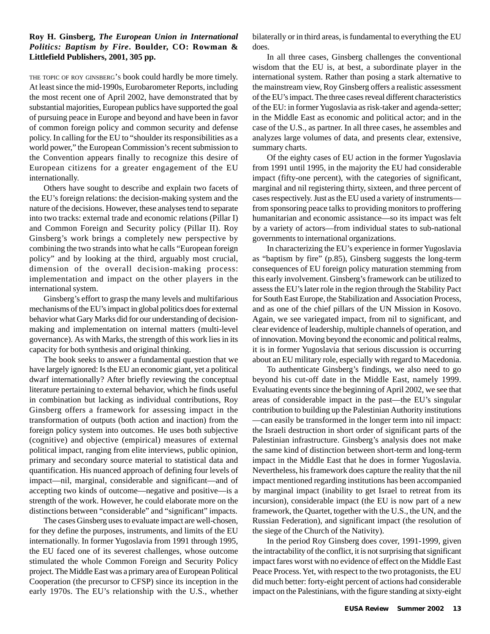#### **Roy H. Ginsberg,** *The European Union in International Politics: Baptism by Fire***. Boulder, CO: Rowman & Littlefield Publishers, 2001, 305 pp.**

THE TOPIC OF ROY GINSBERG'S book could hardly be more timely. At least since the mid-1990s, Eurobarometer Reports, including the most recent one of April 2002, have demonstrated that by substantial majorities, European publics have supported the goal of pursuing peace in Europe and beyond and have been in favor of common foreign policy and common security and defense policy. In calling for the EU to "shoulder its responsibilities as a world power," the European Commission's recent submission to the Convention appears finally to recognize this desire of European citizens for a greater engagement of the EU internationally.

Others have sought to describe and explain two facets of the EU's foreign relations: the decision-making system and the nature of the decisions. However, these analyses tend to separate into two tracks: external trade and economic relations (Pillar I) and Common Foreign and Security policy (Pillar II). Roy Ginsberg's work brings a completely new perspective by combining the two strands into what he calls "European foreign policy" and by looking at the third, arguably most crucial, dimension of the overall decision-making process: implementation and impact on the other players in the international system.

Ginsberg's effort to grasp the many levels and multifarious mechanisms of the EU's impact in global politics does for external behavior what Gary Marks did for our understanding of decisionmaking and implementation on internal matters (multi-level governance). As with Marks, the strength of this work lies in its capacity for both synthesis and original thinking.

The book seeks to answer a fundamental question that we have largely ignored: Is the EU an economic giant, yet a political dwarf internationally? After briefly reviewing the conceptual literature pertaining to external behavior, which he finds useful in combination but lacking as individual contributions, Roy Ginsberg offers a framework for assessing impact in the transformation of outputs (both action and inaction) from the foreign policy system into outcomes. He uses both subjective (cognitive) and objective (empirical) measures of external political impact, ranging from elite interviews, public opinion, primary and secondary source material to statistical data and quantification. His nuanced approach of defining four levels of impact—nil, marginal, considerable and significant—and of accepting two kinds of outcome—negative and positive—is a strength of the work. However, he could elaborate more on the distinctions between "considerable" and "significant" impacts.

The cases Ginsberg uses to evaluate impact are well-chosen, for they define the purposes, instruments, and limits of the EU internationally. In former Yugoslavia from 1991 through 1995, the EU faced one of its severest challenges, whose outcome stimulated the whole Common Foreign and Security Policy project. The Middle East was a primary area of European Political Cooperation (the precursor to CFSP) since its inception in the early 1970s. The EU's relationship with the U.S., whether bilaterally or in third areas, is fundamental to everything the EU does.

In all three cases, Ginsberg challenges the conventional wisdom that the EU is, at best, a subordinate player in the international system. Rather than posing a stark alternative to the mainstream view, Roy Ginsberg offers a realistic assessment of the EU's impact. The three cases reveal different characteristics of the EU: in former Yugoslavia as risk-taker and agenda-setter; in the Middle East as economic and political actor; and in the case of the U.S., as partner. In all three cases, he assembles and analyzes large volumes of data, and presents clear, extensive, summary charts.

Of the eighty cases of EU action in the former Yugoslavia from 1991 until 1995, in the majority the EU had considerable impact (fifty-one percent), with the categories of significant, marginal and nil registering thirty, sixteen, and three percent of cases respectively. Just as the EU used a variety of instruments from sponsoring peace talks to providing monitors to proffering humanitarian and economic assistance—so its impact was felt by a variety of actors—from individual states to sub-national governments to international organizations.

In characterizing the EU's experience in former Yugoslavia as "baptism by fire" (p.85), Ginsberg suggests the long-term consequences of EU foreign policy maturation stemming from this early involvement. Ginsberg's framework can be utilized to assess the EU's later role in the region through the Stability Pact for South East Europe, the Stabilization and Association Process, and as one of the chief pillars of the UN Mission in Kosovo. Again, we see variegated impact, from nil to significant, and clear evidence of leadership, multiple channels of operation, and of innovation. Moving beyond the economic and political realms, it is in former Yugoslavia that serious discussion is occurring about an EU military role, especially with regard to Macedonia.

To authenticate Ginsberg's findings, we also need to go beyond his cut-off date in the Middle East, namely 1999. Evaluating events since the beginning of April 2002, we see that areas of considerable impact in the past—the EU's singular contribution to building up the Palestinian Authority institutions —can easily be transformed in the longer term into nil impact: the Israeli destruction in short order of significant parts of the Palestinian infrastructure. Ginsberg's analysis does not make the same kind of distinction between short-term and long-term impact in the Middle East that he does in former Yugoslavia. Nevertheless, his framework does capture the reality that the nil impact mentioned regarding institutions has been accompanied by marginal impact (inability to get Israel to retreat from its incursion), considerable impact (the EU is now part of a new framework, the Quartet, together with the U.S., the UN, and the Russian Federation), and significant impact (the resolution of the siege of the Church of the Nativity).

In the period Roy Ginsberg does cover, 1991-1999, given the intractability of the conflict, it is not surprising that significant impact fares worst with no evidence of effect on the Middle East Peace Process. Yet, with respect to the two protagonists, the EU did much better: forty-eight percent of actions had considerable impact on the Palestinians, with the figure standing at sixty-eight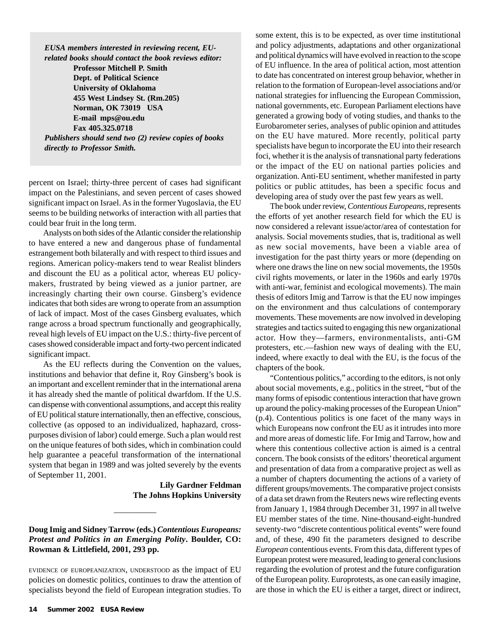*EUSA members interested in reviewing recent, EUrelated books should contact the book reviews editor:*

**Professor Mitchell P. Smith Dept. of Political Science University of Oklahoma 455 West Lindsey St. (Rm.205) Norman, OK 73019 USA E-mail mps@ou.edu Fax 405.325.0718** *Publishers should send two (2) review copies of books directly to Professor Smith.*

percent on Israel; thirty-three percent of cases had significant impact on the Palestinians, and seven percent of cases showed significant impact on Israel. As in the former Yugoslavia, the EU seems to be building networks of interaction with all parties that could bear fruit in the long term.

Analysts on both sides of the Atlantic consider the relationship to have entered a new and dangerous phase of fundamental estrangement both bilaterally and with respect to third issues and regions. American policy-makers tend to wear Realist blinders and discount the EU as a political actor, whereas EU policymakers, frustrated by being viewed as a junior partner, are increasingly charting their own course. Ginsberg's evidence indicates that both sides are wrong to operate from an assumption of lack of impact. Most of the cases Ginsberg evaluates, which range across a broad spectrum functionally and geographically, reveal high levels of EU impact on the U.S.: thirty-five percent of cases showed considerable impact and forty-two percent indicated significant impact.

As the EU reflects during the Convention on the values, institutions and behavior that define it, Roy Ginsberg's book is an important and excellent reminder that in the international arena it has already shed the mantle of political dwarfdom. If the U.S. can dispense with conventional assumptions, and accept this reality of EU political stature internationally, then an effective, conscious, collective (as opposed to an individualized, haphazard, crosspurposes division of labor) could emerge. Such a plan would rest on the unique features of both sides, which in combination could help guarantee a peaceful transformation of the international system that began in 1989 and was jolted severely by the events of September 11, 2001.

> **Lily Gardner Feldman The Johns Hopkins University**

#### **Doug Imig and Sidney Tarrow (eds.)** *Contentious Europeans: Protest and Politics in an Emerging Polity***. Boulder, CO: Rowman & Littlefield, 2001, 293 pp.**

 $\overline{\phantom{a}}$ 

EVIDENCE OF EUROPEANIZATION, UNDERSTOOD as the impact of EU policies on domestic politics, continues to draw the attention of specialists beyond the field of European integration studies. To

some extent, this is to be expected, as over time institutional and policy adjustments, adaptations and other organizational and political dynamics will have evolved in reaction to the scope of EU influence. In the area of political action, most attention to date has concentrated on interest group behavior, whether in relation to the formation of European-level associations and/or national strategies for influencing the European Commission, national governments, etc. European Parliament elections have generated a growing body of voting studies, and thanks to the Eurobarometer series, analyses of public opinion and attitudes on the EU have matured. More recently, political party specialists have begun to incorporate the EU into their research foci, whether it is the analysis of transnational party federations or the impact of the EU on national parties policies and organization. Anti-EU sentiment, whether manifested in party politics or public attitudes, has been a specific focus and developing area of study over the past few years as well.

The book under review, *Contentious Europeans*, represents the efforts of yet another research field for which the EU is now considered a relevant issue/actor/area of contestation for analysis. Social movements studies, that is, traditional as well as new social movements, have been a viable area of investigation for the past thirty years or more (depending on where one draws the line on new social movements, the 1950s civil rights movements, or later in the 1960s and early 1970s with anti-war, feminist and ecological movements). The main thesis of editors Imig and Tarrow is that the EU now impinges on the environment and thus calculations of contemporary movements. These movements are now involved in developing strategies and tactics suited to engaging this new organizational actor. How they—farmers, environmentalists, anti-GM protesters, etc.—fashion new ways of dealing with the EU, indeed, where exactly to deal with the EU, is the focus of the chapters of the book.

"Contentious politics," according to the editors, is not only about social movements, e.g., politics in the street, "but of the many forms of episodic contentious interaction that have grown up around the policy-making processes of the European Union" (p.4). Contentious politics is one facet of the many ways in which Europeans now confront the EU as it intrudes into more and more areas of domestic life. For Imig and Tarrow, how and where this contentious collective action is aimed is a central concern. The book consists of the editors' theoretical argument and presentation of data from a comparative project as well as a number of chapters documenting the actions of a variety of different groups/movements. The comparative project consists of a data set drawn from the Reuters news wire reflecting events from January 1, 1984 through December 31, 1997 in all twelve EU member states of the time. Nine-thousand-eight-hundred seventy-two "discrete contentious political events" were found and, of these, 490 fit the parameters designed to describe *European* contentious events. From this data, different types of European protest were measured, leading to general conclusions regarding the evolution of protest and the future configuration of the European polity. Europrotests, as one can easily imagine, are those in which the EU is either a target, direct or indirect,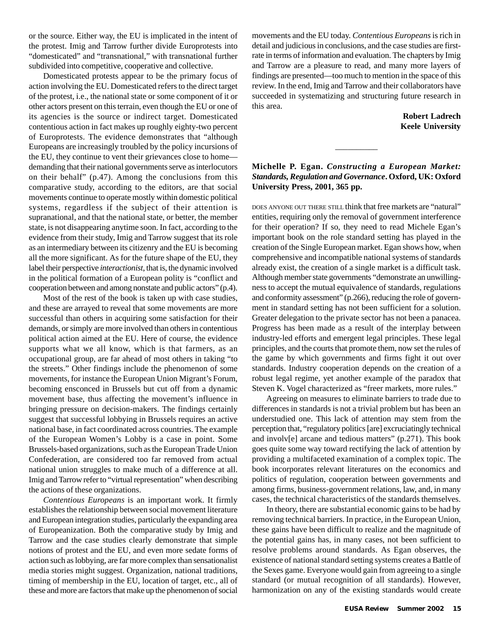or the source. Either way, the EU is implicated in the intent of the protest. Imig and Tarrow further divide Europrotests into "domesticated" and "transnational," with transnational further subdivided into competitive, cooperative and collective.

Domesticated protests appear to be the primary focus of action involving the EU. Domesticated refers to the direct target of the protest, i.e., the national state or some component of it or other actors present on this terrain, even though the EU or one of its agencies is the source or indirect target. Domesticated contentious action in fact makes up roughly eighty-two percent of Europrotests. The evidence demonstrates that "although Europeans are increasingly troubled by the policy incursions of the EU, they continue to vent their grievances close to home demanding that their national governments serve as interlocutors on their behalf" (p.47). Among the conclusions from this comparative study, according to the editors, are that social movements continue to operate mostly within domestic political systems, regardless if the subject of their attention is supranational, and that the national state, or better, the member state, is not disappearing anytime soon. In fact, according to the evidence from their study, Imig and Tarrow suggest that its role as an intermediary between its citizenry and the EU is becoming all the more significant. As for the future shape of the EU, they label their perspective *interactionist*, that is, the dynamic involved in the political formation of a European polity is "conflict and cooperation between and among nonstate and public actors" (p.4).

Most of the rest of the book is taken up with case studies, and these are arrayed to reveal that some movements are more successful than others in acquiring some satisfaction for their demands, or simply are more involved than others in contentious political action aimed at the EU. Here of course, the evidence supports what we all know, which is that farmers, as an occupational group, are far ahead of most others in taking "to the streets." Other findings include the phenomenon of some movements, for instance the European Union Migrant's Forum, becoming ensconced in Brussels but cut off from a dynamic movement base, thus affecting the movement's influence in bringing pressure on decision-makers. The findings certainly suggest that successful lobbying in Brussels requires an active national base, in fact coordinated across countries. The example of the European Women's Lobby is a case in point. Some Brussels-based organizations, such as the European Trade Union Confederation, are considered too far removed from actual national union struggles to make much of a difference at all. Imig and Tarrow refer to "virtual representation" when describing the actions of these organizations.

*Contentious Europeans* is an important work. It firmly establishes the relationship between social movement literature and European integration studies, particularly the expanding area of Europeanization. Both the comparative study by Imig and Tarrow and the case studies clearly demonstrate that simple notions of protest and the EU, and even more sedate forms of action such as lobbying, are far more complex than sensationalist media stories might suggest. Organization, national traditions, timing of membership in the EU, location of target, etc., all of these and more are factors that make up the phenomenon of social movements and the EU today. *Contentious Europeans* is rich in detail and judicious in conclusions, and the case studies are firstrate in terms of information and evaluation. The chapters by Imig and Tarrow are a pleasure to read, and many more layers of findings are presented—too much to mention in the space of this review. In the end, Imig and Tarrow and their collaborators have succeeded in systematizing and structuring future research in this area.

> **Robert Ladrech Keele University**

#### **Michelle P. Egan.** *Constructing a European Market: Standards, Regulation and Governance***. Oxford, UK: Oxford University Press, 2001, 365 pp.**

 $\overline{\phantom{a}}$ 

DOES ANYONE OUT THERE STILL think that free markets are "natural" entities, requiring only the removal of government interference for their operation? If so, they need to read Michele Egan's important book on the role standard setting has played in the creation of the Single European market. Egan shows how, when comprehensive and incompatible national systems of standards already exist, the creation of a single market is a difficult task. Although member state governments "demonstrate an unwillingness to accept the mutual equivalence of standards, regulations and conformity assessment" (p.266), reducing the role of government in standard setting has not been sufficient for a solution. Greater delegation to the private sector has not been a panacea. Progress has been made as a result of the interplay between industry-led efforts and emergent legal principles. These legal principles, and the courts that promote them, now set the rules of the game by which governments and firms fight it out over standards. Industry cooperation depends on the creation of a robust legal regime, yet another example of the paradox that Steven K. Vogel characterized as "freer markets, more rules."

Agreeing on measures to eliminate barriers to trade due to differences in standards is not a trivial problem but has been an understudied one. This lack of attention may stem from the perception that, "regulatory politics [are] excruciatingly technical and involv[e] arcane and tedious matters" (p.271). This book goes quite some way toward rectifying the lack of attention by providing a multifaceted examination of a complex topic. The book incorporates relevant literatures on the economics and politics of regulation, cooperation between governments and among firms, business-government relations, law, and, in many cases, the technical characteristics of the standards themselves.

In theory, there are substantial economic gains to be had by removing technical barriers. In practice, in the European Union, these gains have been difficult to realize and the magnitude of the potential gains has, in many cases, not been sufficient to resolve problems around standards. As Egan observes, the existence of national standard setting systems creates a Battle of the Sexes game. Everyone would gain from agreeing to a single standard (or mutual recognition of all standards). However, harmonization on any of the existing standards would create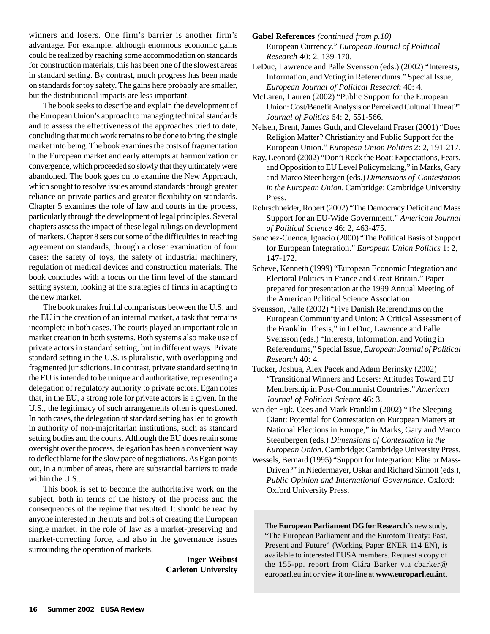winners and losers. One firm's barrier is another firm's advantage. For example, although enormous economic gains could be realized by reaching some accommodation on standards for construction materials, this has been one of the slowest areas in standard setting. By contrast, much progress has been made on standards for toy safety. The gains here probably are smaller, but the distributional impacts are less important.

The book seeks to describe and explain the development of the European Union's approach to managing technical standards and to assess the effectiveness of the approaches tried to date, concluding that much work remains to be done to bring the single market into being. The book examines the costs of fragmentation in the European market and early attempts at harmonization or convergence, which proceeded so slowly that they ultimately were abandoned. The book goes on to examine the New Approach, which sought to resolve issues around standards through greater reliance on private parties and greater flexibility on standards. Chapter 5 examines the role of law and courts in the process, particularly through the development of legal principles. Several chapters assess the impact of these legal rulings on development of markets. Chapter 8 sets out some of the difficulties in reaching agreement on standards, through a closer examination of four cases: the safety of toys, the safety of industrial machinery, regulation of medical devices and construction materials. The book concludes with a focus on the firm level of the standard setting system, looking at the strategies of firms in adapting to the new market.

The book makes fruitful comparisons between the U.S. and the EU in the creation of an internal market, a task that remains incomplete in both cases. The courts played an important role in market creation in both systems. Both systems also make use of private actors in standard setting, but in different ways. Private standard setting in the U.S. is pluralistic, with overlapping and fragmented jurisdictions. In contrast, private standard setting in the EU is intended to be unique and authoritative, representing a delegation of regulatory authority to private actors. Egan notes that, in the EU, a strong role for private actors is a given. In the U.S., the legitimacy of such arrangements often is questioned. In both cases, the delegation of standard setting has led to growth in authority of non-majoritarian institutions, such as standard setting bodies and the courts. Although the EU does retain some oversight over the process, delegation has been a convenient way to deflect blame for the slow pace of negotiations. As Egan points out, in a number of areas, there are substantial barriers to trade within the U.S..

This book is set to become the authoritative work on the subject, both in terms of the history of the process and the consequences of the regime that resulted. It should be read by anyone interested in the nuts and bolts of creating the European single market, in the role of law as a market-preserving and market-correcting force, and also in the governance issues surrounding the operation of markets.

> **Inger Weibust Carleton University**

**Gabel References** *(continued from p.10)* European Currency." *European Journal of Political Research* 40: 2, 139-170.

LeDuc, Lawrence and Palle Svensson (eds.) (2002) "Interests, Information, and Voting in Referendums." Special Issue, *European Journal of Political Research* 40: 4.

McLaren, Lauren (2002) "Public Support for the European Union: Cost/Benefit Analysis or Perceived Cultural Threat?" *Journal of Politics* 64: 2, 551-566.

Nelsen, Brent, James Guth, and Cleveland Fraser (2001) "Does Religion Matter? Christianity and Public Support for the European Union." *European Union Politics* 2: 2, 191-217.

Ray, Leonard (2002) "Don't Rock the Boat: Expectations, Fears, and Opposition to EU Level Policymaking," in Marks, Gary and Marco Steenbergen (eds.) *Dimensions of Contestation in the European Union*. Cambridge: Cambridge University Press.

Rohrschneider, Robert (2002) "The Democracy Deficit and Mass Support for an EU-Wide Government." *American Journal of Political Science* 46: 2, 463-475.

- Sanchez-Cuenca, Ignacio (2000) "The Political Basis of Support for European Integration." *European Union Politics* 1: 2, 147-172.
- Scheve, Kenneth (1999) "European Economic Integration and Electoral Politics in France and Great Britain." Paper prepared for presentation at the 1999 Annual Meeting of the American Political Science Association.
- Svensson, Palle (2002) "Five Danish Referendums on the European Community and Union: A Critical Assessment of the Franklin Thesis," in LeDuc, Lawrence and Palle Svensson (eds.) "Interests, Information, and Voting in Referendums," Special Issue, *European Journal of Political Research* 40: 4.
- Tucker, Joshua, Alex Pacek and Adam Berinsky (2002) "Transitional Winners and Losers: Attitudes Toward EU Membership in Post-Communist Countries." *American Journal of Political Science* 46: 3.
- van der Eijk, Cees and Mark Franklin (2002) "The Sleeping Giant: Potential for Contestation on European Matters at National Elections in Europe," in Marks, Gary and Marco Steenbergen (eds.) *Dimensions of Contestation in the European Union*. Cambridge: Cambridge University Press.
- Wessels, Bernard (1995) "Support for Integration: Elite or Mass-Driven?" in Niedermayer, Oskar and Richard Sinnott (eds.), *Public Opinion and International Governance*. Oxford: Oxford University Press.

The **European Parliament DG for Research**'s new study, "The European Parliament and the Eurotom Treaty: Past, Present and Future" (Working Paper ENER 114 EN), is available to interested EUSA members. Request a copy of the 155-pp. report from Ciára Barker via cbarker@ europarl.eu.int or view it on-line at **www.europarl.eu.int**.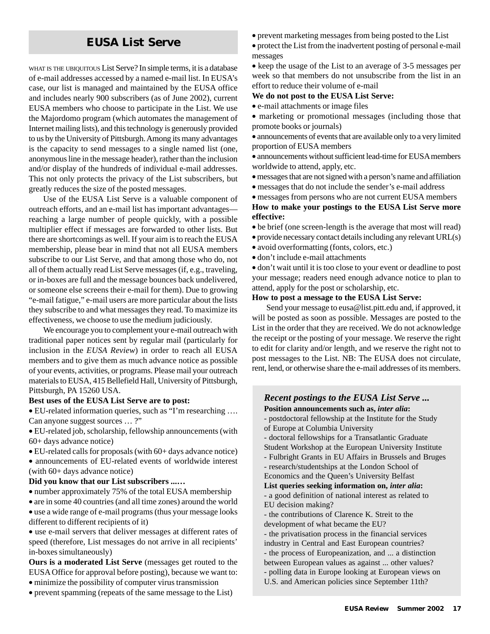# **EUSA List Serve**

WHAT IS THE UBIQUITOUS List Serve? In simple terms, it is a database of e-mail addresses accessed by a named e-mail list. In EUSA's case, our list is managed and maintained by the EUSA office and includes nearly 900 subscribers (as of June 2002), current EUSA members who choose to participate in the List. We use the Majordomo program (which automates the management of Internet mailing lists), and this technology is generously provided to us by the University of Pittsburgh. Among its many advantages is the capacity to send messages to a single named list (one, anonymous line in the message header), rather than the inclusion and/or display of the hundreds of individual e-mail addresses. This not only protects the privacy of the List subscribers, but greatly reduces the size of the posted messages.

Use of the EUSA List Serve is a valuable component of outreach efforts, and an e-mail list has important advantages reaching a large number of people quickly, with a possible multiplier effect if messages are forwarded to other lists. But there are shortcomings as well. If your aim is to reach the EUSA membership, please bear in mind that not all EUSA members subscribe to our List Serve, and that among those who do, not all of them actually read List Serve messages (if, e.g., traveling, or in-boxes are full and the message bounces back undelivered, or someone else screens their e-mail for them). Due to growing "e-mail fatigue," e-mail users are more particular about the lists they subscribe to and what messages they read. To maximize its effectiveness, we choose to use the medium judiciously.

We encourage you to complement your e-mail outreach with traditional paper notices sent by regular mail (particularly for inclusion in the *EUSA Review*) in order to reach all EUSA members and to give them as much advance notice as possible of your events, activities, or programs. Please mail your outreach materials to EUSA, 415 Bellefield Hall, University of Pittsburgh, Pittsburgh, PA 15260 USA.

#### **Best uses of the EUSA List Serve are to post:**

• EU-related information queries, such as "I'm researching …. Can anyone suggest sources … ?"

• EU-related job, scholarship, fellowship announcements (with 60+ days advance notice)

• EU-related calls for proposals (with 60+ days advance notice)

• announcements of EU-related events of worldwide interest (with 60+ days advance notice)

#### **Did you know that our List subscribers ...…**

• number approximately 75% of the total EUSA membership

• are in some 40 countries (and all time zones) around the world • use a wide range of e-mail programs (thus your message looks

different to different recipients of it)

• use e-mail servers that deliver messages at different rates of speed (therefore, List messages do not arrive in all recipients' in-boxes simultaneously)

**Ours is a moderated List Serve** (messages get routed to the EUSA Office for approval before posting), because we want to:

- minimize the possibility of computer virus transmission
- prevent spamming (repeats of the same message to the List)
- prevent marketing messages from being posted to the List
- protect the List from the inadvertent posting of personal e-mail messages

• keep the usage of the List to an average of 3-5 messages per week so that members do not unsubscribe from the list in an effort to reduce their volume of e-mail

#### **We do not post to the EUSA List Serve:**

• e-mail attachments or image files

• marketing or promotional messages (including those that promote books or journals)

• announcements of events that are available only to a very limited proportion of EUSA members

• announcements without sufficient lead-time for EUSA members worldwide to attend, apply, etc.

- messages that are not signed with a person's name and affiliation
- messages that do not include the sender's e-mail address

• messages from persons who are not current EUSA members **How to make your postings to the EUSA List Serve more effective:**

- be brief (one screen-length is the average that most will read)
- provide necessary contact details including any relevant URL(s)
- avoid overformatting (fonts, colors, etc.)
- don't include e-mail attachments

• don't wait until it is too close to your event or deadline to post your message; readers need enough advance notice to plan to attend, apply for the post or scholarship, etc.

#### **How to post a message to the EUSA List Serve:**

Send your message to eusa@list.pitt.edu and, if approved, it will be posted as soon as possible. Messages are posted to the List in the order that they are received. We do not acknowledge the receipt or the posting of your message. We reserve the right to edit for clarity and/or length, and we reserve the right not to post messages to the List. NB: The EUSA does not circulate, rent, lend, or otherwise share the e-mail addresses of its members.

#### *Recent postings to the EUSA List Serve ...* **Position announcements such as,** *inter alia***:**

- postdoctoral fellowship at the Institute for the Study

of Europe at Columbia University

- doctoral fellowships for a Transatlantic Graduate
- Student Workshop at the European University Institute
- Fulbright Grants in EU Affairs in Brussels and Bruges

- research/studentships at the London School of

Economics and the Queen's University Belfast

**List queries seeking information on,** *inter alia***:** - a good definition of national interest as related to

- EU decision making?
- the contributions of Clarence K. Streit to the development of what became the EU?
- the privatisation process in the financial services
- industry in Central and East European countries?
- the process of Europeanization, and ... a distinction
- between European values as against ... other values?
- polling data in Europe looking at European views on
- U.S. and American policies since September 11th?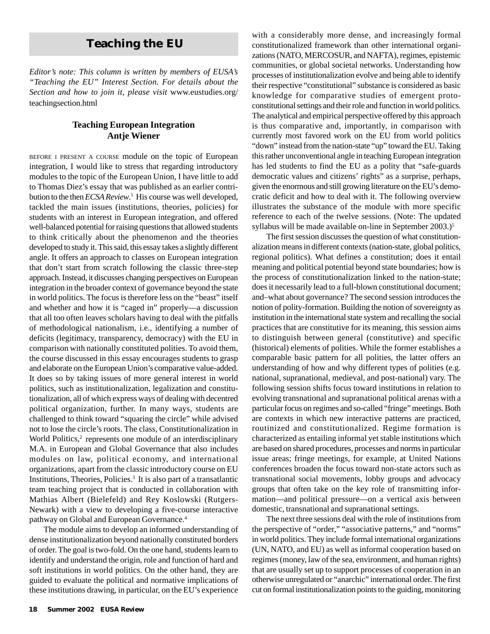# **Teaching the EU**

*Editor's note: This column is written by members of EUSA's "Teaching the EU" Interest Section. For details about the Section and how to join it, please visit* www.eustudies.org/ teachingsection.html

#### **Teaching European Integration Antje Wiener**

BEFORE <sup>I</sup> PRESENT <sup>A</sup> COURSE module on the topic of European integration, I would like to stress that regarding introductory modules to the topic of the European Union, I have little to add to Thomas Diez's essay that was published as an earlier contribution to the then *ECSA Review*. 1 His course was well developed, tackled the main issues (institutions, theories, policies) for students with an interest in European integration, and offered well-balanced potential for raising questions that allowed students to think critically about the phenomenon and the theories developed to study it. This said, this essay takes a slightly different angle. It offers an approach to classes on European integration that don't start from scratch following the classic three-step approach. Instead, it discusses changing perspectives on European integration in the broader context of governance beyond the state in world politics. The focus is therefore less on the "beast" itself and whether and how it is "caged in" properly—a discussion that all too often leaves scholars having to deal with the pitfalls of methodological nationalism, i.e., identifying a number of deficits (legitimacy, transparency, democracy) with the EU in comparison with nationally constituted polities. To avoid them, the course discussed in this essay encourages students to grasp and elaborate on the European Union's comparative value-added. It does so by taking issues of more general interest in world politics, such as institutionalization, legalization and constitutionalization, all of which express ways of dealing with decentred political organization, further. In many ways, students are challenged to think toward "squaring the circle" while advised not to lose the circle's roots. The class, Constitutionalization in World Politics,<sup>2</sup> represents one module of an interdisciplinary M.A. in European and Global Governance that also includes modules on law, political economy, and international organizations, apart from the classic introductory course on EU Institutions, Theories, Policies. $3$  It is also part of a transatlantic team teaching project that is conducted in collaboration with Mathias Albert (Bielefeld) and Rey Koslowski (Rutgers-Newark) with a view to developing a five-course interactive pathway on Global and European Governance.4

The module aims to develop an informed understanding of dense institutionalization beyond nationally constituted borders of order. The goal is two-fold. On the one hand, students learn to identify and understand the origin, role and function of hard and soft institutions in world politics. On the other hand, they are guided to evaluate the political and normative implications of these institutions drawing, in particular, on the EU's experience

with a considerably more dense, and increasingly formal constitutionalized framework than other international organizations (NATO, MERCOSUR, and NAFTA), regimes, epistemic communities, or global societal networks. Understanding how processes of institutionalization evolve and being able to identify their respective "constitutional" substance is considered as basic knowledge for comparative studies of emergent protoconstitutional settings and their role and function in world politics. The analytical and empirical perspective offered by this approach is thus comparative and, importantly, in comparison with currently most favored work on the EU from world politics "down" instead from the nation-state "up" toward the EU. Taking this rather unconventional angle in teaching European integration has led students to find the EU as a polity that "safe-guards democratic values and citizens' rights" as a surprise, perhaps, given the enormous and still growing literature on the EU's democratic deficit and how to deal with it. The following overview illustrates the substance of the module with more specific reference to each of the twelve sessions. (Note: The updated syllabus will be made available on-line in September 2003.)<sup>5</sup>

The first session discusses the question of what constitutionalization means in different contexts (nation-state, global politics, regional politics). What defines a constitution; does it entail meaning and political potential beyond state boundaries; how is the process of constitutionalization linked to the nation-state; does it necessarily lead to a full-blown constitutional document; and–what about governance? The second session introduces the notion of polity-formation. Building the notion of sovereignty as institution in the international state system and recalling the social practices that are constitutive for its meaning, this session aims to distinguish between general (constitutive) and specific (historical) elements of polities. While the former establishes a comparable basic pattern for all polities, the latter offers an understanding of how and why different types of polities (e.g. national, supranational, medieval, and post-national) vary. The following session shifts focus toward institutions in relation to evolving transnational and supranational political arenas with a particular focus on regimes and so-called "fringe" meetings. Both are contexts in which new interactive patterns are practiced, routinized and constitutionalized. Regime formation is characterized as entailing informal yet stable institutions which are based on shared procedures, processes and norms in particular issue areas; fringe meetings, for example, at United Nations conferences broaden the focus toward non-state actors such as transnational social movements, lobby groups and advocacy groups that often take on the key role of transmitting information—and political pressure—on a vertical axis between domestic, transnational and supranational settings.

The next three sessions deal with the role of institutions from the perspective of "order," "associative patterns," and "norms" in world politics. They include formal international organizations (UN, NATO, and EU) as well as informal cooperation based on regimes (money, law of the sea, environment, and human rights) that are usually set up to support processes of cooperation in an otherwise unregulated or "anarchic" international order. The first cut on formal institutionalization points to the guiding, monitoring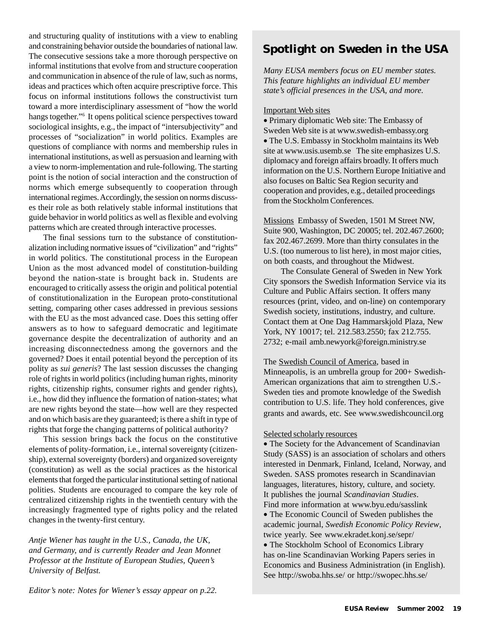and structuring quality of institutions with a view to enabling and constraining behavior outside the boundaries of national law. The consecutive sessions take a more thorough perspective on informal institutions that evolve from and structure cooperation and communication in absence of the rule of law, such as norms, ideas and practices which often acquire prescriptive force. This focus on informal institutions follows the constructivist turn toward a more interdisciplinary assessment of "how the world hangs together."6 It opens political science perspectives toward sociological insights, e.g., the impact of "intersubjectivity" and processes of "socialization" in world politics. Examples are questions of compliance with norms and membership rules in international institutions, as well as persuasion and learning with a view to norm-implementation and rule-following. The starting point is the notion of social interaction and the construction of norms which emerge subsequently to cooperation through international regimes. Accordingly, the session on norms discusses their role as both relatively stable informal institutions that guide behavior in world politics as well as flexible and evolving patterns which are created through interactive processes.

The final sessions turn to the substance of constitutionalization including normative issues of "civilization" and "rights" in world politics. The constitutional process in the European Union as the most advanced model of constitution-building beyond the nation-state is brought back in. Students are encouraged to critically assess the origin and political potential of constitutionalization in the European proto-constitutional setting, comparing other cases addressed in previous sessions with the EU as the most advanced case. Does this setting offer answers as to how to safeguard democratic and legitimate governance despite the decentralization of authority and an increasing disconnectedness among the governors and the governed? Does it entail potential beyond the perception of its polity as *sui generis*? The last session discusses the changing role of rights in world politics (including human rights, minority rights, citizenship rights, consumer rights and gender rights), i.e., how did they influence the formation of nation-states; what are new rights beyond the state—how well are they respected and on which basis are they guaranteed; is there a shift in type of rights that forge the changing patterns of political authority?

This session brings back the focus on the constitutive elements of polity-formation, i.e., internal sovereignty (citizenship), external sovereignty (borders) and organized sovereignty (constitution) as well as the social practices as the historical elements that forged the particular institutional setting of national polities. Students are encouraged to compare the key role of centralized citizenship rights in the twentieth century with the increasingly fragmented type of rights policy and the related changes in the twenty-first century.

*Antje Wiener has taught in the U.S., Canada, the UK, and Germany, and is currently Reader and Jean Monnet Professor at the Institute of European Studies, Queen's University of Belfast.*

# **Spotlight on Sweden in the USA**

*Many EUSA members focus on EU member states. This feature highlights an individual EU member state's official presences in the USA, and more.*

#### Important Web sites

• Primary diplomatic Web site: The Embassy of Sweden Web site is at www.swedish-embassy.org • The U.S. Embassy in Stockholm maintains its Web site at www.usis.usemb.se The site emphasizes U.S. diplomacy and foreign affairs broadly. It offers much information on the U.S. Northern Europe Initiative and also focuses on Baltic Sea Region security and cooperation and provides, e.g., detailed proceedings from the Stockholm Conferences.

Missions Embassy of Sweden, 1501 M Street NW, Suite 900, Washington, DC 20005; tel. 202.467.2600; fax 202.467.2699. More than thirty consulates in the U.S. (too numerous to list here), in most major cities, on both coasts, and throughout the Midwest.

The Consulate General of Sweden in New York City sponsors the Swedish Information Service via its Culture and Public Affairs section. It offers many resources (print, video, and on-line) on contemporary Swedish society, institutions, industry, and culture. Contact them at One Dag Hammarskjold Plaza, New York, NY 10017; tel. 212.583.2550; fax 212.755. 2732; e-mail amb.newyork@foreign.ministry.se

The Swedish Council of America, based in Minneapolis, is an umbrella group for 200+ Swedish-American organizations that aim to strengthen U.S.- Sweden ties and promote knowledge of the Swedish contribution to U.S. life. They hold conferences, give grants and awards, etc. See www.swedishcouncil.org

#### Selected scholarly resources

• The Society for the Advancement of Scandinavian Study (SASS) is an association of scholars and others interested in Denmark, Finland, Iceland, Norway, and Sweden. SASS promotes research in Scandinavian languages, literatures, history, culture, and society. It publishes the journal *Scandinavian Studies*. Find more information at www.byu.edu/sasslink

• The Economic Council of Sweden publishes the academic journal, *Swedish Economic Policy Review*, twice yearly. See www.ekradet.konj.se/sepr/

• The Stockholm School of Economics Library has on-line Scandinavian Working Papers series in Economics and Business Administration (in English). See http://swoba.hhs.se/ or http://swopec.hhs.se/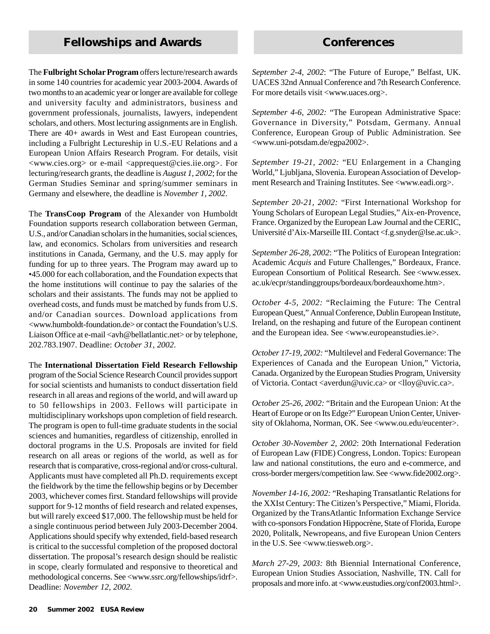# **Fellowships and Awards Conferences**

The **Fulbright Scholar Program** offers lecture/research awards in some 140 countries for academic year 2003-2004. Awards of two months to an academic year or longer are available for college and university faculty and administrators, business and government professionals, journalists, lawyers, independent scholars, and others. Most lecturing assignments are in English. There are 40+ awards in West and East European countries, including a Fulbright Lectureship in U.S.-EU Relations and a European Union Affairs Research Program. For details, visit <www.cies.org> or e-mail <apprequest@cies.iie.org>. For lecturing/research grants, the deadline is *August 1, 2002*; for the German Studies Seminar and spring/summer seminars in Germany and elsewhere, the deadline is *November 1, 2002*.

The **TransCoop Program** of the Alexander von Humboldt Foundation supports research collaboration between German, U.S., and/or Canadian scholars in the humanities, social sciences, law, and economics. Scholars from universities and research institutions in Canada, Germany, and the U.S. may apply for funding for up to three years. The Program may award up to •45.000 for each collaboration, and the Foundation expects that the home institutions will continue to pay the salaries of the scholars and their assistants. The funds may not be applied to overhead costs, and funds must be matched by funds from U.S. and/or Canadian sources. Download applications from <www.humboldt-foundation.de> or contact the Foundation's U.S. Liaison Office at e-mail <avh@bellatlantic.net> or by telephone, 202.783.1907. Deadline: *October 31, 2002*.

The **International Dissertation Field Research Fellowship** program of the Social Science Research Council provides support for social scientists and humanists to conduct dissertation field research in all areas and regions of the world, and will award up to 50 fellowships in 2003. Fellows will participate in multidisciplinary workshops upon completion of field research. The program is open to full-time graduate students in the social sciences and humanities, regardless of citizenship, enrolled in doctoral programs in the U.S. Proposals are invited for field research on all areas or regions of the world, as well as for research that is comparative, cross-regional and/or cross-cultural. Applicants must have completed all Ph.D. requirements except the fieldwork by the time the fellowship begins or by December 2003, whichever comes first. Standard fellowships will provide support for 9-12 months of field research and related expenses, but will rarely exceed \$17,000. The fellowship must be held for a single continuous period between July 2003-December 2004. Applications should specify why extended, field-based research is critical to the successful completion of the proposed doctoral dissertation. The proposal's research design should be realistic in scope, clearly formulated and responsive to theoretical and methodological concerns. See <www.ssrc.org/fellowships/idrf>. Deadline: *November 12, 2002*.

*September 2-4, 2002*: "The Future of Europe," Belfast, UK. UACES 32nd Annual Conference and 7th Research Conference. For more details visit <www.uaces.org>.

*September 4-6, 2002:* "The European Administrative Space: Governance in Diversity," Potsdam, Germany. Annual Conference, European Group of Public Administration. See <www.uni-potsdam.de/egpa2002>.

*September 19-21, 2002:* "EU Enlargement in a Changing World," Ljubljana, Slovenia. European Association of Development Research and Training Institutes. See <www.eadi.org>.

*September 20-21, 2002:* "First International Workshop for Young Scholars of European Legal Studies," Aix-en-Provence, France. Organized by the European Law Journal and the CERIC, Université d'Aix-Marseille III. Contact <f.g.snyder@lse.ac.uk>.

*September 26-28, 2002*: "The Politics of European Integration: Academic *Acquis* and Future Challenges," Bordeaux, France. European Consortium of Political Research. See <www.essex. ac.uk/ecpr/standinggroups/bordeaux/bordeauxhome.htm>.

*October 4-5, 2002:* "Reclaiming the Future: The Central European Quest," Annual Conference, Dublin European Institute, Ireland, on the reshaping and future of the European continent and the European idea. See <www.europeanstudies.ie>.

*October 17-19, 2002:* "Multilevel and Federal Governance: The Experiences of Canada and the European Union," Victoria, Canada. Organized by the European Studies Program, University of Victoria. Contact <averdun@uvic.ca> or <lloy@uvic.ca>.

*October 25-26, 2002:* "Britain and the European Union: At the Heart of Europe or on Its Edge?" European Union Center, University of Oklahoma, Norman, OK. See <www.ou.edu/eucenter>.

*October 30-November 2, 2002*: 20th International Federation of European Law (FIDE) Congress, London. Topics: European law and national constitutions, the euro and e-commerce, and cross-border mergers/competition law. See <www.fide2002.org>.

*November 14-16, 2002:* "Reshaping Transatlantic Relations for the XXIst Century: The Citizen's Perspective," Miami, Florida. Organized by the TransAtlantic Information Exchange Service with co-sponsors Fondation Hippocrène, State of Florida, Europe 2020, Politalk, Newropeans, and five European Union Centers in the U.S. See <www.tiesweb.org>.

*March 27-29, 2003:* 8th Biennial International Conference, European Union Studies Association, Nashville, TN. Call for proposals and more info. at <www.eustudies.org/conf2003.html>.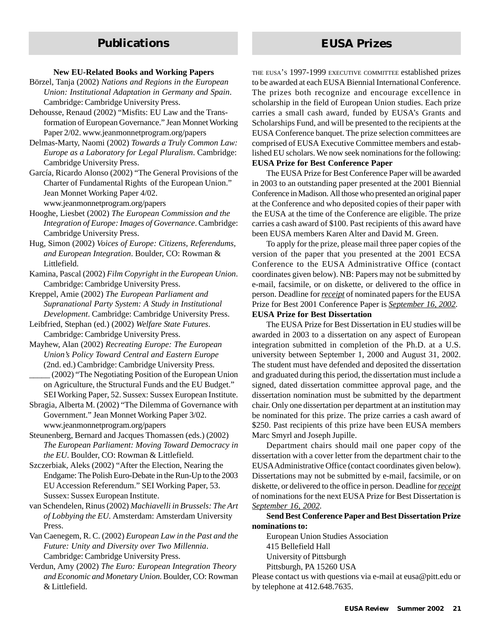#### **New EU-Related Books and Working Papers**

Börzel, Tanja (2002) *Nations and Regions in the European Union: Institutional Adaptation in Germany and Spain*. Cambridge: Cambridge University Press.

- Dehousse, Renaud (2002) "Misfits: EU Law and the Transformation of European Governance." Jean Monnet Working Paper 2/02. www.jeanmonnetprogram.org/papers
- Delmas-Marty, Naomi (2002) *Towards a Truly Common Law: Europe as a Laboratory for Legal Pluralism*. Cambridge: Cambridge University Press.
- García, Ricardo Alonso (2002) "The General Provisions of the Charter of Fundamental Rights of the European Union." Jean Monnet Working Paper 4/02. www.jeanmonnetprogram.org/papers
- Hooghe, Liesbet (2002) *The European Commission and the Integration of Europe: Images of Governance*. Cambridge: Cambridge University Press.
- Hug, Simon (2002) *Voices of Europe: Citizens, Referendums, and European Integration*. Boulder, CO: Rowman & Littlefield.
- Kamina, Pascal (2002) *Film Copyright in the European Union*. Cambridge: Cambridge University Press.
- Kreppel, Amie (2002) *The European Parliament and Supranational Party System: A Study in Institutional Development*. Cambridge: Cambridge University Press.
- Leibfried, Stephan (ed.) (2002) *Welfare State Futures*. Cambridge: Cambridge University Press.
- Mayhew, Alan (2002) *Recreating Europe: The European Union's Policy Toward Central and Eastern Europe* (2nd. ed.) Cambridge: Cambridge University Press.
- \_\_\_\_\_ (2002) "The Negotiating Position of the European Union on Agriculture, the Structural Funds and the EU Budget." SEI Working Paper, 52. Sussex: Sussex European Institute.
- Sbragia, Alberta M. (2002) "The Dilemma of Governance with Government." Jean Monnet Working Paper 3/02. www.jeanmonnetprogram.org/papers
- Steunenberg, Bernard and Jacques Thomassen (eds.) (2002) *The European Parliament: Moving Toward Democracy in the EU*. Boulder, CO: Rowman & Littlefield.
- Szczerbiak, Aleks (2002) "After the Election, Nearing the Endgame: The Polish Euro-Debate in the Run-Up to the 2003 EU Accession Referendum." SEI Working Paper, 53. Sussex: Sussex European Institute.
- van Schendelen, Rinus (2002) *Machiavelli in Brussels: The Art of Lobbying the EU*. Amsterdam: Amsterdam University Press.
- Van Caenegem, R. C. (2002) *European Law in the Past and the Future: Unity and Diversity over Two Millennia*. Cambridge: Cambridge University Press.
- Verdun, Amy (2002) *The Euro: European Integration Theory and Economic and Monetary Union*. Boulder, CO: Rowman & Littlefield.

THE EUSA'S 1997-1999 EXECUTIVE COMMITTEE established prizes to be awarded at each EUSA Biennial International Conference. The prizes both recognize and encourage excellence in scholarship in the field of European Union studies. Each prize carries a small cash award, funded by EUSA's Grants and Scholarships Fund, and will be presented to the recipients at the EUSA Conference banquet. The prize selection committees are comprised of EUSA Executive Committee members and established EU scholars. We now seek nominations for the following: **EUSA Prize for Best Conference Paper**

The EUSA Prize for Best Conference Paper will be awarded in 2003 to an outstanding paper presented at the 2001 Biennial Conference in Madison. All those who presented an original paper at the Conference and who deposited copies of their paper with the EUSA at the time of the Conference are eligible. The prize carries a cash award of \$100. Past recipients of this award have been EUSA members Karen Alter and David M. Green.

To apply for the prize, please mail three paper copies of the version of the paper that you presented at the 2001 ECSA Conference to the EUSA Administrative Office (contact coordinates given below). NB: Papers may not be submitted by e-mail, facsimile, or on diskette, or delivered to the office in person. Deadline for *receipt* of nominated papers for the EUSA Prize for Best 2001 Conference Paper is *September 16, 2002.*

#### **EUSA Prize for Best Dissertation**

The EUSA Prize for Best Dissertation in EU studies will be awarded in 2003 to a dissertation on any aspect of European integration submitted in completion of the Ph.D. at a U.S. university between September 1, 2000 and August 31, 2002. The student must have defended and deposited the dissertation and graduated during this period, the dissertation must include a signed, dated dissertation committee approval page, and the dissertation nomination must be submitted by the department chair. Only one dissertation per department at an institution may be nominated for this prize. The prize carries a cash award of \$250. Past recipients of this prize have been EUSA members Marc Smyrl and Joseph Jupille.

Department chairs should mail one paper copy of the dissertation with a cover letter from the department chair to the EUSA Administrative Office (contact coordinates given below). Dissertations may not be submitted by e-mail, facsimile, or on diskette, or delivered to the office in person. Deadline for *receipt* of nominations for the next EUSA Prize for Best Dissertation is *September 16, 2002.*

**Send Best Conference Paper and Best Dissertation Prize nominations to:**

European Union Studies Association 415 Bellefield Hall University of Pittsburgh Pittsburgh, PA 15260 USA

Please contact us with questions via e-mail at eusa@pitt.edu or by telephone at 412.648.7635.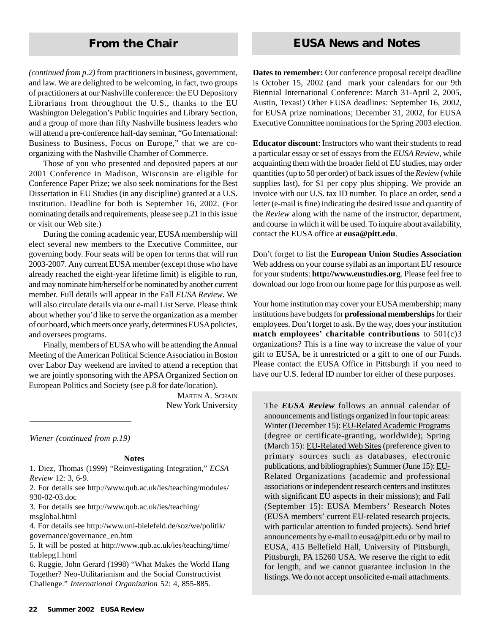*(continued from p.2)* from practitioners in business, government, and law. We are delighted to be welcoming, in fact, two groups of practitioners at our Nashville conference: the EU Depository Librarians from throughout the U.S., thanks to the EU Washington Delegation's Public Inquiries and Library Section, and a group of more than fifty Nashville business leaders who will attend a pre-conference half-day seminar, "Go International: Business to Business, Focus on Europe," that we are coorganizing with the Nashville Chamber of Commerce.

Those of you who presented and deposited papers at our 2001 Conference in Madison, Wisconsin are eligible for Conference Paper Prize; we also seek nominations for the Best Dissertation in EU Studies (in any discipline) granted at a U.S. institution. Deadline for both is September 16, 2002. (For nominating details and requirements, please see p.21 in this issue or visit our Web site.)

During the coming academic year, EUSA membership will elect several new members to the Executive Committee, our governing body. Four seats will be open for terms that will run 2003-2007. Any current EUSA member (except those who have already reached the eight-year lifetime limit) is eligible to run, and may nominate him/herself or be nominated by another current member. Full details will appear in the Fall *EUSA Review*. We will also circulate details via our e-mail List Serve. Please think about whether you'd like to serve the organization as a member of our board, which meets once yearly, determines EUSA policies, and oversees programs.

Finally, members of EUSA who will be attending the Annual Meeting of the American Political Science Association in Boston over Labor Day weekend are invited to attend a reception that we are jointly sponsoring with the APSA Organized Section on European Politics and Society (see p.8 for date/location).

> MARTIN A. SCHAIN New York University

*Wiener (continued from p.19)*

\_\_\_\_\_\_\_\_\_\_\_\_\_\_\_\_\_\_\_\_\_\_\_\_

#### **Notes**

1. Diez, Thomas (1999) "Reinvestigating Integration," *ECSA Review* 12: 3, 6-9.

2. For details see http://www.qub.ac.uk/ies/teaching/modules/ 930-02-03.doc

3. For details see http://www.qub.ac.uk/ies/teaching/ msglobal.html

4. For details see http://www.uni-bielefeld.de/soz/we/politik/ governance/governance\_en.htm

5. It will be posted at http://www.qub.ac.uk/ies/teaching/time/ ttablepg1.html

6. Ruggie, John Gerard (1998) "What Makes the World Hang Together? Neo-Utilitarianism and the Social Constructivist Challenge." *International Organization* 52: 4, 855-885.

# **From the Chair From the Chair EUSA News and Notes**

**Dates to remember:** Our conference proposal receipt deadline is October 15, 2002 (and mark your calendars for our 9th Biennial International Conference: March 31-April 2, 2005, Austin, Texas!) Other EUSA deadlines: September 16, 2002, for EUSA prize nominations; December 31, 2002, for EUSA Executive Committee nominations for the Spring 2003 election.

**Educator discount**: Instructors who want their students to read a particular essay or set of essays from the *EUSA Review*, while acquainting them with the broader field of EU studies, may order quantities (up to 50 per order) of back issues of the *Review* (while supplies last), for \$1 per copy plus shipping. We provide an invoice with our U.S. tax ID number. To place an order, send a letter (e-mail is fine) indicating the desired issue and quantity of the *Review* along with the name of the instructor, department, and course in which it will be used. To inquire about availability, contact the EUSA office at **eusa@pitt.edu**.

Don't forget to list the **European Union Studies Association** Web address on your course syllabi as an important EU resource for your students: **http://www.eustudies.org**. Please feel free to download our logo from our home page for this purpose as well.

Your home institution may cover your EUSA membership; many institutions have budgets for **professional memberships** for their employees. Don't forget to ask. By the way, does your institution **match employees' charitable contributions** to 501(c)3 organizations? This is a fine way to increase the value of your gift to EUSA, be it unrestricted or a gift to one of our Funds. Please contact the EUSA Office in Pittsburgh if you need to have our U.S. federal ID number for either of these purposes.

The *EUSA Review* follows an annual calendar of announcements and listings organized in four topic areas: Winter (December 15): EU-Related Academic Programs (degree or certificate-granting, worldwide); Spring (March 15): EU-Related Web Sites (preference given to primary sources such as databases, electronic publications, and bibliographies); Summer (June 15): EU-Related Organizations (academic and professional associations or independent research centers and institutes with significant EU aspects in their missions); and Fall (September 15): EUSA Members' Research Notes (EUSA members' current EU-related research projects, with particular attention to funded projects). Send brief announcements by e-mail to eusa@pitt.edu or by mail to EUSA, 415 Bellefield Hall, University of Pittsburgh, Pittsburgh, PA 15260 USA. We reserve the right to edit for length, and we cannot guarantee inclusion in the listings. We do not accept unsolicited e-mail attachments.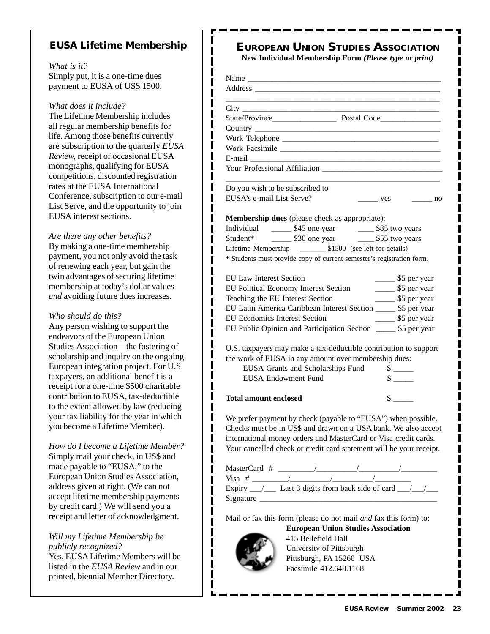## **EUSA Lifetime Membership**

ı Π I I I

> ı Ι ı

ı ı ı

> I ı Π

Π

ı

ı I ı Ι I ı ı ı

ı

ı I

ı

ı I Ι I

*What is it?* Simply put, it is a one-time dues payment to EUSA of US\$ 1500.

*What does it include?*

The Lifetime Membership includes all regular membership benefits for life. Among those benefits currently are subscription to the quarterly *EUSA Review,* receipt of occasional EUSA monographs, qualifying for EUSA competitions, discounted registration rates at the EUSA International Conference, subscription to our e-mail List Serve, and the opportunity to join EUSA interest sections.

#### *Are there any other benefits?*

By making a one-time membership payment, you not only avoid the task of renewing each year, but gain the twin advantages of securing lifetime membership at today's dollar values *and* avoiding future dues increases.

*Who should do this?*

Any person wishing to support the endeavors of the European Union Studies Association—the fostering of scholarship and inquiry on the ongoing European integration project. For U.S. taxpayers, an additional benefit is a receipt for a one-time \$500 charitable contribution to EUSA, tax-deductible to the extent allowed by law (reducing your tax liability for the year in which you become a Lifetime Member).

*How do I become a Lifetime Member?* Simply mail your check, in US\$ and made payable to "EUSA," to the European Union Studies Association, address given at right. (We can not accept lifetime membership payments by credit card.) We will send you a receipt and letter of acknowledgment.

*Will my Lifetime Membership be publicly recognized?*

Yes, EUSA Lifetime Members will be listed in the *EUSA Review* and in our printed, biennial Member Directory.

**New Individual Membership Form** *(Please type or print)*

| State/Province Postal Code                                                |                                                     |           |
|---------------------------------------------------------------------------|-----------------------------------------------------|-----------|
|                                                                           |                                                     |           |
|                                                                           |                                                     |           |
|                                                                           |                                                     |           |
|                                                                           |                                                     |           |
| Your Professional Affiliation                                             |                                                     |           |
| Do you wish to be subscribed to                                           |                                                     |           |
| EUSA's e-mail List Serve?                                                 | yes                                                 | $\sim$ no |
| Membership dues (please check as appropriate):                            |                                                     |           |
| Individual _________ \$45 one year _________ \$85 two years               |                                                     |           |
|                                                                           |                                                     |           |
|                                                                           |                                                     |           |
| * Students must provide copy of current semester's registration form.     |                                                     |           |
| <b>EU Law Interest Section</b>                                            |                                                     |           |
|                                                                           | $\frac{1}{2}$ \$5 per year                          |           |
| EU Political Economy Interest Section<br>Teaching the EU Interest Section | ________ \$5 per year<br>$\frac{1}{2}$ \$5 per year |           |
| EU Latin America Caribbean Interest Section ______ \$5 per year           |                                                     |           |
| <b>EU Economics Interest Section</b>                                      | ________ \$5 per year                               |           |
| EU Public Opinion and Participation Section ________ \$5 per year         |                                                     |           |
|                                                                           |                                                     |           |
| U.S. taxpayers may make a tax-deductible contribution to support          |                                                     |           |
| the work of EUSA in any amount over membership dues:                      |                                                     |           |
| EUSA Grants and Scholarships Fund                                         | $\frac{\text{S}}{\text{S}}$                         |           |
| <b>EUSA Endowment Fund</b>                                                | $\frac{\text{S}}{\text{S}}$                         |           |
|                                                                           |                                                     |           |
| <b>Total amount enclosed</b>                                              |                                                     |           |
|                                                                           |                                                     |           |
| We prefer payment by check (payable to "EUSA") when possible.             |                                                     |           |
| Checks must be in US\$ and drawn on a USA bank. We also accept            |                                                     |           |
| international money orders and MasterCard or Visa credit cards.           |                                                     |           |
| Your cancelled check or credit card statement will be your receipt.       |                                                     |           |
|                                                                           |                                                     |           |
|                                                                           |                                                     |           |
|                                                                           |                                                     |           |
|                                                                           |                                                     |           |
| $Sigma =$                                                                 |                                                     |           |
|                                                                           |                                                     |           |
| Mail or fax this form (please do not mail and fax this form) to:          |                                                     |           |
| <b>European Union Studies Association</b>                                 |                                                     |           |
| 415 Bellefield Hall                                                       |                                                     |           |
| University of Pittsburgh                                                  |                                                     |           |
| Pittsburgh, PA 15260 USA                                                  |                                                     |           |